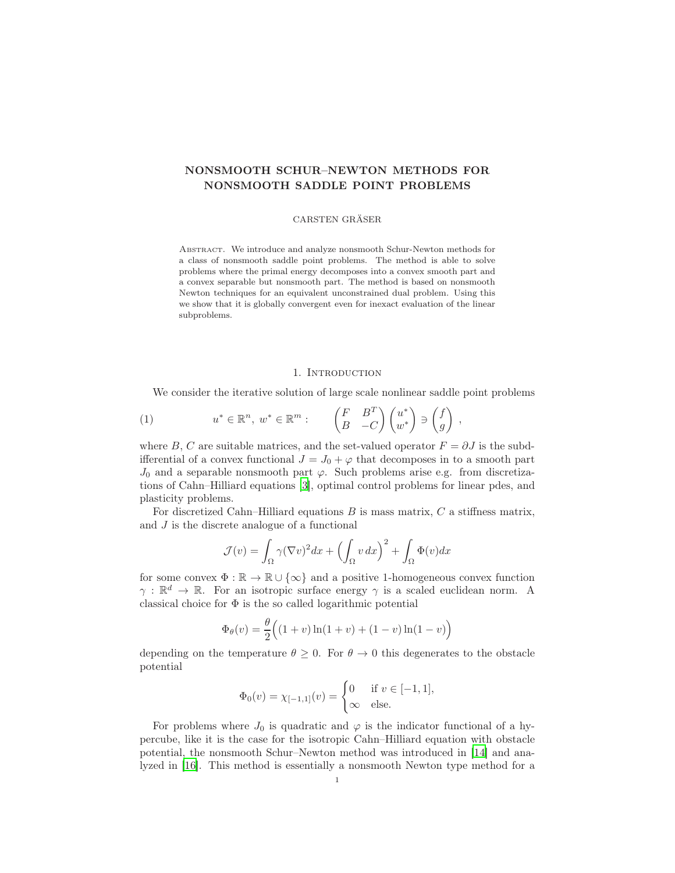# NONSMOOTH SCHUR–NEWTON METHODS FOR NONSMOOTH SADDLE POINT PROBLEMS

### CARSTEN GRÄSER

ABSTRACT. We introduce and analyze nonsmooth Schur-Newton methods for a class of nonsmooth saddle point problems. The method is able to solve problems where the primal energy decomposes into a convex smooth part and a convex separable but nonsmooth part. The method is based on nonsmooth Newton techniques for an equivalent unconstrained dual problem. Using this we show that it is globally convergent even for inexact evaluation of the linear subproblems.

# 1. INTRODUCTION

<span id="page-0-0"></span>We consider the iterative solution of large scale nonlinear saddle point problems

(1) 
$$
u^* \in \mathbb{R}^n
$$
,  $w^* \in \mathbb{R}^m$ :  $\begin{pmatrix} F & B^T \\ B & -C \end{pmatrix} \begin{pmatrix} u^* \\ w^* \end{pmatrix} \ni \begin{pmatrix} f \\ g \end{pmatrix}$ ,

where B, C are suitable matrices, and the set-valued operator  $F = \partial J$  is the subdifferential of a convex functional  $J = J_0 + \varphi$  that decomposes in to a smooth part  $J_0$  and a separable nonsmooth part  $\varphi$ . Such problems arise e.g. from discretizations of Cahn–Hilliard equations [\[3](#page-22-0)], optimal control problems for linear pdes, and plasticity problems.

For discretized Cahn–Hilliard equations  $B$  is mass matrix,  $C$  a stiffness matrix, and  $J$  is the discrete analogue of a functional

$$
\mathcal{J}(v) = \int_{\Omega} \gamma (\nabla v)^2 dx + \left( \int_{\Omega} v dx \right)^2 + \int_{\Omega} \Phi(v) dx
$$

for some convex  $\Phi : \mathbb{R} \to \mathbb{R} \cup \{\infty\}$  and a positive 1-homogeneous convex function  $\gamma : \mathbb{R}^d \to \mathbb{R}$ . For an isotropic surface energy  $\gamma$  is a scaled euclidean norm. A classical choice for  $\Phi$  is the so called logarithmic potential

$$
\Phi_{\theta}(v) = \frac{\theta}{2} ((1+v)\ln(1+v) + (1-v)\ln(1-v))
$$

depending on the temperature  $\theta \geq 0$ . For  $\theta \to 0$  this degenerates to the obstacle potential

$$
\Phi_0(v) = \chi_{[-1,1]}(v) = \begin{cases} 0 & \text{if } v \in [-1,1], \\ \infty & \text{else.} \end{cases}
$$

For problems where  $J_0$  is quadratic and  $\varphi$  is the indicator functional of a hypercube, like it is the case for the isotropic Cahn–Hilliard equation with obstacle potential, the nonsmooth Schur–Newton method was introduced in [\[14](#page-22-1)] and analyzed in [\[16\]](#page-22-2). This method is essentially a nonsmooth Newton type method for a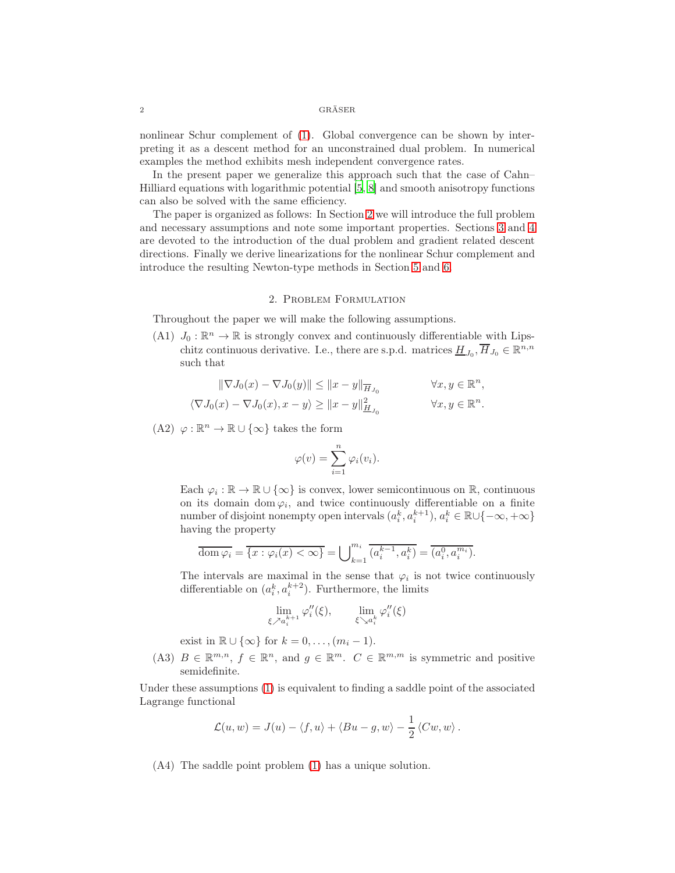nonlinear Schur complement of [\(1\)](#page-0-0). Global convergence can be shown by interpreting it as a descent method for an unconstrained dual problem. In numerical examples the method exhibits mesh independent convergence rates.

In the present paper we generalize this approach such that the case of Cahn– Hilliard equations with logarithmic potential [\[5,](#page-22-3) [8](#page-22-4)] and smooth anisotropy functions can also be solved with the same efficiency.

The paper is organized as follows: In Section [2](#page-1-0) we will introduce the full problem and necessary assumptions and note some important properties. Sections [3](#page-2-0) and [4](#page-3-0) are devoted to the introduction of the dual problem and gradient related descent directions. Finally we derive linearizations for the nonlinear Schur complement and introduce the resulting Newton-type methods in Section [5](#page-8-0) and [6.](#page-15-0)

### 2. Problem Formulation

<span id="page-1-1"></span><span id="page-1-0"></span>Throughout the paper we will make the following assumptions.

(A1)  $J_0: \mathbb{R}^n \to \mathbb{R}$  is strongly convex and continuously differentiable with Lipschitz continuous derivative. I.e., there are s.p.d. matrices  $\underline{H}_{J_0}, \overline{H}_{J_0} \in \mathbb{R}^{n,n}$ such that

$$
\label{eq:1.1} \begin{aligned} \|\nabla J_0(x)-\nabla J_0(y)\| &\leq \|x-y\|_{\overline{H}_{J_0}} &\forall x,y\in\mathbb{R}^n,\\ \langle\nabla J_0(x)-\nabla J_0(x),x-y\rangle &\geq \|x-y\|_{\underline{H}_{J_0}}^2 &\forall x,y\in\mathbb{R}^n. \end{aligned}
$$

<span id="page-1-2"></span>(A2)  $\varphi : \mathbb{R}^n \to \mathbb{R} \cup {\infty}$  takes the form

$$
\varphi(v) = \sum_{i=1}^n \varphi_i(v_i).
$$

Each  $\varphi_i : \mathbb{R} \to \mathbb{R} \cup \{\infty\}$  is convex, lower semicontinuous on  $\mathbb{R}$ , continuous on its domain dom  $\varphi_i$ , and twice continuously differentiable on a finite number of disjoint nonempty open intervals  $(a_i^k, a_i^{k+1}), a_i^k \in \mathbb{R} \cup \{-\infty, +\infty\}$ having the property

$$
\overline{\text{dom }\varphi_i} = \overline{\{x : \varphi_i(x) < \infty\}} = \bigcup_{k=1}^{m_i} \overline{(a_i^{k-1}, a_i^k)} = \overline{(a_i^0, a_i^{m_i})}.
$$

The intervals are maximal in the sense that  $\varphi_i$  is not twice continuously differentiable on  $(a_i^k, a_i^{k+2})$ . Furthermore, the limits

$$
\lim_{\xi \nearrow a_i^{k+1}} \varphi_i''(\xi), \qquad \lim_{\xi \searrow a_i^k} \varphi_i''(\xi)
$$

exist in  $\mathbb{R} \cup \{\infty\}$  for  $k = 0, \ldots, (m_i - 1)$ .

<span id="page-1-4"></span>(A3)  $B \in \mathbb{R}^{m,n}$ ,  $f \in \mathbb{R}^n$ , and  $g \in \mathbb{R}^m$ .  $C \in \mathbb{R}^{m,m}$  is symmetric and positive semidefinite.

Under these assumptions [\(1\)](#page-0-0) is equivalent to finding a saddle point of the associated Lagrange functional

$$
\mathcal{L}(u, w) = J(u) - \langle f, u \rangle + \langle Bu - g, w \rangle - \frac{1}{2} \langle Cw, w \rangle.
$$

<span id="page-1-3"></span>(A4) The saddle point problem [\(1\)](#page-0-0) has a unique solution.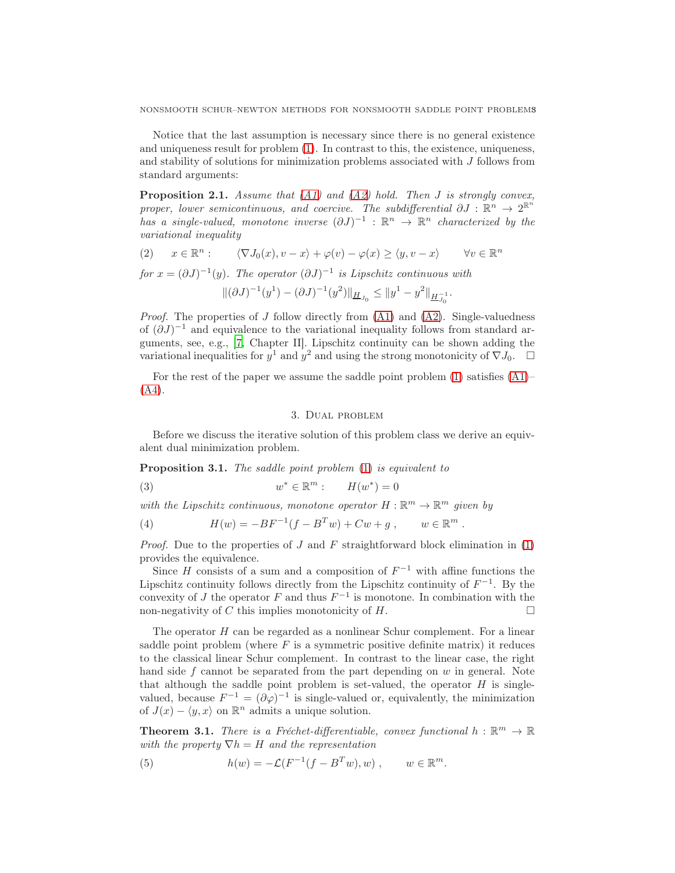Notice that the last assumption is necessary since there is no general existence and uniqueness result for problem [\(1\)](#page-0-0). In contrast to this, the existence, uniqueness, and stability of solutions for minimization problems associated with J follows from standard arguments:

<span id="page-2-4"></span>**Proposition 2.1.** Assume that [\(A1\)](#page-1-1) and [\(A2\)](#page-1-2) hold. Then J is strongly convex, proper, lower semicontinuous, and coercive. The subdifferential  $\partial J : \mathbb{R}^n \to 2^{\mathbb{R}^n}$ has a single-valued, monotone inverse  $(\partial J)^{-1}$  :  $\mathbb{R}^n \to \mathbb{R}^n$  characterized by the variational inequality

(2) 
$$
x \in \mathbb{R}^n
$$
:  $\langle \nabla J_0(x), v - x \rangle + \varphi(v) - \varphi(x) \ge \langle y, v - x \rangle$   $\forall v \in \mathbb{R}^n$   
for  $x = (\partial J)^{-1}(y)$ . The operator  $(\partial J)^{-1}$  is Lipschitz continuous with  

$$
\|(\partial J)^{-1}(y^1) - (\partial J)^{-1}(y^2)\|_{\underline{H}_{J_0}} \le \|y^1 - y^2\|_{\underline{H}_{J_0}^{-1}}.
$$

*Proof.* The properties of J follow directly from  $(A1)$  and  $(A2)$ . Single-valuedness of  $(\partial J)^{-1}$  and equivalence to the variational inequality follows from standard arguments, see, e.g., [\[7](#page-22-5), Chapter II]. Lipschitz continuity can be shown adding the variational inequalities for  $y^1$  and  $y^2$  and using the strong monotonicity of  $\nabla J_0$ .  $\Box$ 

<span id="page-2-0"></span>For the rest of the paper we assume the saddle point problem  $(1)$  satisfies  $(A1)$ –  $(A4)$ .

# 3. Dual problem

Before we discuss the iterative solution of this problem class we derive an equivalent dual minimization problem.

<span id="page-2-2"></span>Proposition 3.1. The saddle point problem [\(1\)](#page-0-0) is equivalent to

<span id="page-2-5"></span>(3) 
$$
w^* \in \mathbb{R}^m: \qquad H(w^*) = 0
$$

with the Lipschitz continuous, monotone operator  $H : \mathbb{R}^m \to \mathbb{R}^m$  given by

(4) 
$$
H(w) = -BF^{-1}(f - B^Tw) + Cw + g, \qquad w \in \mathbb{R}^m.
$$

*Proof.* Due to the properties of J and F straightforward block elimination in  $(1)$ provides the equivalence.

Since H consists of a sum and a composition of  $F^{-1}$  with affine functions the Lipschitz continuity follows directly from the Lipschitz continuity of  $F^{-1}$ . By the convexity of J the operator F and thus  $F^{-1}$  is monotone. In combination with the non-negativity of C this implies monotonicity of H.

The operator  $H$  can be regarded as a nonlinear Schur complement. For a linear saddle point problem (where  $F$  is a symmetric positive definite matrix) it reduces to the classical linear Schur complement. In contrast to the linear case, the right hand side  $f$  cannot be separated from the part depending on  $w$  in general. Note that although the saddle point problem is set-valued, the operator  $H$  is singlevalued, because  $F^{-1} = (\partial \varphi)^{-1}$  is single-valued or, equivalently, the minimization of  $J(x) - \langle y, x \rangle$  on  $\mathbb{R}^n$  admits a unique solution.

<span id="page-2-3"></span>**Theorem 3.1.** There is a Fréchet-differentiable, convex functional  $h : \mathbb{R}^m \to \mathbb{R}$ with the property  $\nabla h = H$  and the representation

<span id="page-2-1"></span>(5) 
$$
h(w) = -\mathcal{L}(F^{-1}(f - B^Tw), w), \qquad w \in \mathbb{R}^m.
$$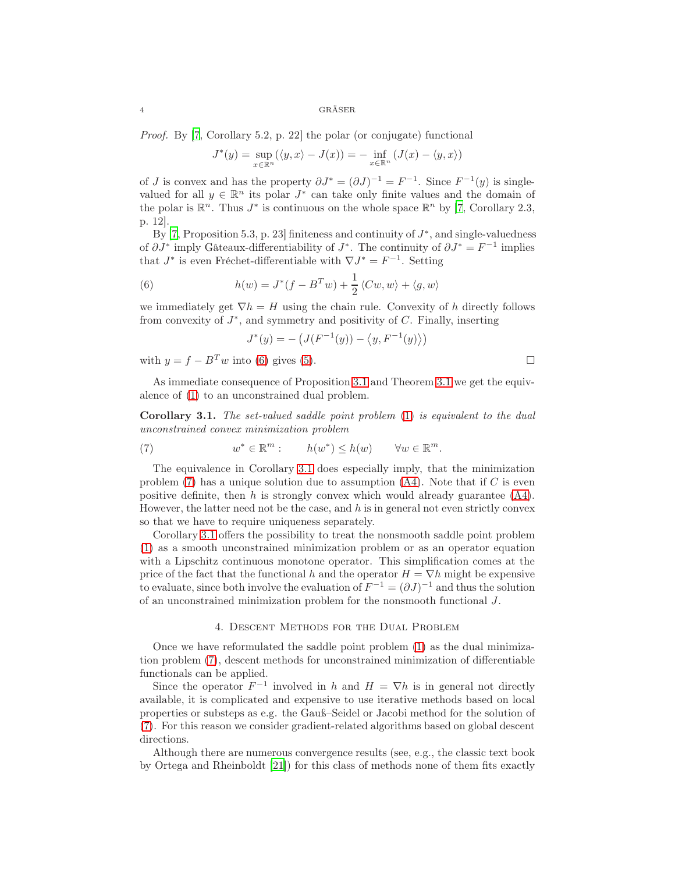Proof. By [\[7](#page-22-5), Corollary 5.2, p. 22] the polar (or conjugate) functional

$$
J^*(y) = \sup_{x \in \mathbb{R}^n} (\langle y, x \rangle - J(x)) = - \inf_{x \in \mathbb{R}^n} (J(x) - \langle y, x \rangle)
$$

of J is convex and has the property  $\partial J^* = (\partial J)^{-1} = F^{-1}$ . Since  $F^{-1}(y)$  is singlevalued for all  $y \in \mathbb{R}^n$  its polar  $J^*$  can take only finite values and the domain of the polar is  $\mathbb{R}^n$ . Thus  $J^*$  is continuous on the whole space  $\mathbb{R}^n$  by [\[7](#page-22-5), Corollary 2.3, p. 12].

By [\[7,](#page-22-5) Proposition 5.3, p. 23] finiteness and continuity of  $J^*$ , and single-valuedness of  $\partial J^*$  imply Gâteaux-differentiability of  $J^*$ . The continuity of  $\partial J^* = F^{-1}$  implies that  $J^*$  is even Fréchet-differentiable with  $\nabla J^* = F^{-1}$ . Setting

<span id="page-3-1"></span>(6) 
$$
h(w) = J^*(f - B^Tw) + \frac{1}{2} \langle Cw, w \rangle + \langle g, w \rangle
$$

we immediately get  $\nabla h = H$  using the chain rule. Convexity of h directly follows from convexity of  $J^*$ , and symmetry and positivity of  $C$ . Finally, inserting

$$
J^*(y) = -\left(J(F^{-1}(y)) - \langle y, F^{-1}(y) \rangle\right)
$$

with  $y = f - B<sup>T</sup> w$  into [\(6\)](#page-3-1) gives [\(5\)](#page-2-1).

As immediate consequence of Proposition [3.1](#page-2-2) and Theorem [3.1](#page-2-3) we get the equivalence of [\(1\)](#page-0-0) to an unconstrained dual problem.

<span id="page-3-2"></span>Corollary 3.1. The set-valued saddle point problem [\(1\)](#page-0-0) is equivalent to the dual unconstrained convex minimization problem

<span id="page-3-3"></span>(7) 
$$
w^* \in \mathbb{R}^m: \qquad h(w^*) \leq h(w) \qquad \forall w \in \mathbb{R}^m.
$$

The equivalence in Corollary [3.1](#page-3-2) does especially imply, that the minimization problem  $(7)$  has a unique solution due to assumption  $(A4)$ . Note that if C is even positive definite, then h is strongly convex which would already guarantee  $(A4)$ . However, the latter need not be the case, and  $h$  is in general not even strictly convex so that we have to require uniqueness separately.

Corollary [3.1](#page-3-2) offers the possibility to treat the nonsmooth saddle point problem [\(1\)](#page-0-0) as a smooth unconstrained minimization problem or as an operator equation with a Lipschitz continuous monotone operator. This simplification comes at the price of the fact that the functional h and the operator  $H = \nabla h$  might be expensive to evaluate, since both involve the evaluation of  $F^{-1} = (\partial J)^{-1}$  and thus the solution of an unconstrained minimization problem for the nonsmooth functional J.

#### 4. Descent Methods for the Dual Problem

<span id="page-3-0"></span>Once we have reformulated the saddle point problem [\(1\)](#page-0-0) as the dual minimization problem [\(7\)](#page-3-3), descent methods for unconstrained minimization of differentiable functionals can be applied.

Since the operator  $F^{-1}$  involved in h and  $H = \nabla h$  is in general not directly available, it is complicated and expensive to use iterative methods based on local properties or substeps as e.g. the Gauß–Seidel or Jacobi method for the solution of [\(7\)](#page-3-3). For this reason we consider gradient-related algorithms based on global descent directions.

Although there are numerous convergence results (see, e.g., the classic text book by Ortega and Rheinboldt [\[21\]](#page-23-0)) for this class of methods none of them fits exactly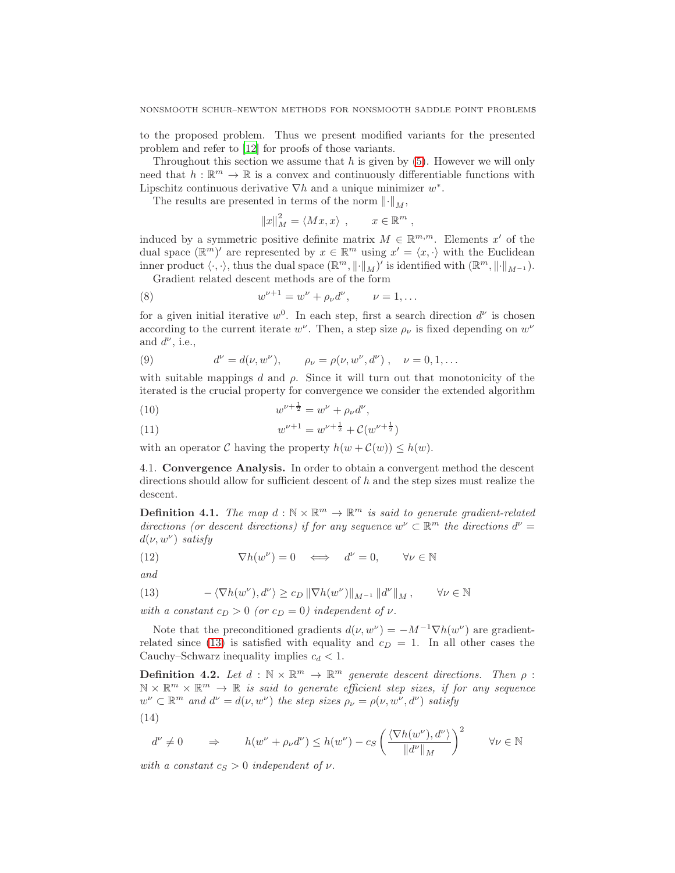to the proposed problem. Thus we present modified variants for the presented problem and refer to [\[12\]](#page-22-6) for proofs of those variants.

Throughout this section we assume that  $h$  is given by  $(5)$ . However we will only need that  $h: \mathbb{R}^m \to \mathbb{R}$  is a convex and continuously differentiable functions with Lipschitz continuous derivative  $\nabla h$  and a unique minimizer  $w^*$ .

The results are presented in terms of the norm  $\lVert \cdot \rVert_M$ ,

$$
||x||_M^2 = \langle Mx, x \rangle \ , \qquad x \in \mathbb{R}^m \ ,
$$

induced by a symmetric positive definite matrix  $M \in \mathbb{R}^{m,m}$ . Elements x' of the dual space  $(\mathbb{R}^m)'$  are represented by  $x \in \mathbb{R}^m$  using  $x' = \langle x, \cdot \rangle$  with the Euclidean inner product  $\langle \cdot, \cdot \rangle$ , thus the dual space  $(\mathbb{R}^m, \|\cdot\|_M)'$  is identified with  $(\mathbb{R}^m, \|\cdot\|_{M^{-1}})$ .

Gradient related descent methods are of the form

<span id="page-4-5"></span>(8) 
$$
w^{\nu+1} = w^{\nu} + \rho_{\nu} d^{\nu}, \qquad \nu = 1, ...
$$

for a given initial iterative  $w^0$ . In each step, first a search direction  $d^{\nu}$  is chosen according to the current iterate  $w^{\nu}$ . Then, a step size  $\rho_{\nu}$  is fixed depending on  $w^{\nu}$ and  $d^{\nu}$ , i.e.,

<span id="page-4-1"></span>(9) 
$$
d^{\nu} = d(\nu, w^{\nu}), \qquad \rho_{\nu} = \rho(\nu, w^{\nu}, d^{\nu}), \quad \nu = 0, 1, ...
$$

with suitable mappings d and  $\rho$ . Since it will turn out that monotonicity of the iterated is the crucial property for convergence we consider the extended algorithm

<span id="page-4-2"></span>(10) 
$$
w^{\nu + \frac{1}{2}} = w^{\nu} + \rho_{\nu} d^{\nu},
$$

<span id="page-4-3"></span>(11) 
$$
w^{\nu+1} = w^{\nu+\frac{1}{2}} + \mathcal{C}(w^{\nu+\frac{1}{2}})
$$

with an operator C having the property  $h(w + C(w)) \leq h(w)$ .

4.1. Convergence Analysis. In order to obtain a convergent method the descent directions should allow for sufficient descent of  $h$  and the step sizes must realize the descent.

**Definition 4.1.** The map  $d : \mathbb{N} \times \mathbb{R}^m \to \mathbb{R}^m$  is said to generate gradient-related directions (or descent directions) if for any sequence  $w^{\nu} \subset \mathbb{R}^m$  the directions  $d^{\nu} =$  $d(\nu, w^{\nu})$  satisfy

<span id="page-4-6"></span>(12) 
$$
\nabla h(w^{\nu}) = 0 \iff d^{\nu} = 0, \quad \forall \nu \in \mathbb{N}
$$

and

<span id="page-4-0"></span>(13) 
$$
-\langle \nabla h(w^{\nu}), d^{\nu} \rangle \geq c_D \|\nabla h(w^{\nu})\|_{M^{-1}} \|d^{\nu}\|_{M}, \qquad \forall \nu \in \mathbb{N}
$$

with a constant  $c_D > 0$  (or  $c_D = 0$ ) independent of  $\nu$ .

Note that the preconditioned gradients  $d(\nu, w^{\nu}) = -M^{-1} \nabla h(w^{\nu})$  are gradient-related since [\(13\)](#page-4-0) is satisfied with equality and  $c_D = 1$ . In all other cases the Cauchy–Schwarz inequality implies  $c_d < 1$ .

**Definition 4.2.** Let  $d : \mathbb{N} \times \mathbb{R}^m \to \mathbb{R}^m$  generate descent directions. Then  $\rho$ :  $\mathbb{N} \times \mathbb{R}^m \times \mathbb{R}^m \to \mathbb{R}$  is said to generate efficient step sizes, if for any sequence  $w^{\nu} \subset \mathbb{R}^m$  and  $d^{\nu} = d(\nu, w^{\nu})$  the step sizes  $\rho_{\nu} = \rho(\nu, w^{\nu}, d^{\nu})$  satisfy

<span id="page-4-4"></span>
$$
(14)
$$

$$
d^{\nu} \neq 0 \qquad \Rightarrow \qquad h(w^{\nu} + \rho_{\nu} d^{\nu}) \leq h(w^{\nu}) - c_S \left( \frac{\langle \nabla h(w^{\nu}), d^{\nu} \rangle}{\|d^{\nu}\|_{M}} \right)^2 \qquad \forall \nu \in \mathbb{N}
$$

with a constant  $c_S > 0$  independent of  $\nu$ .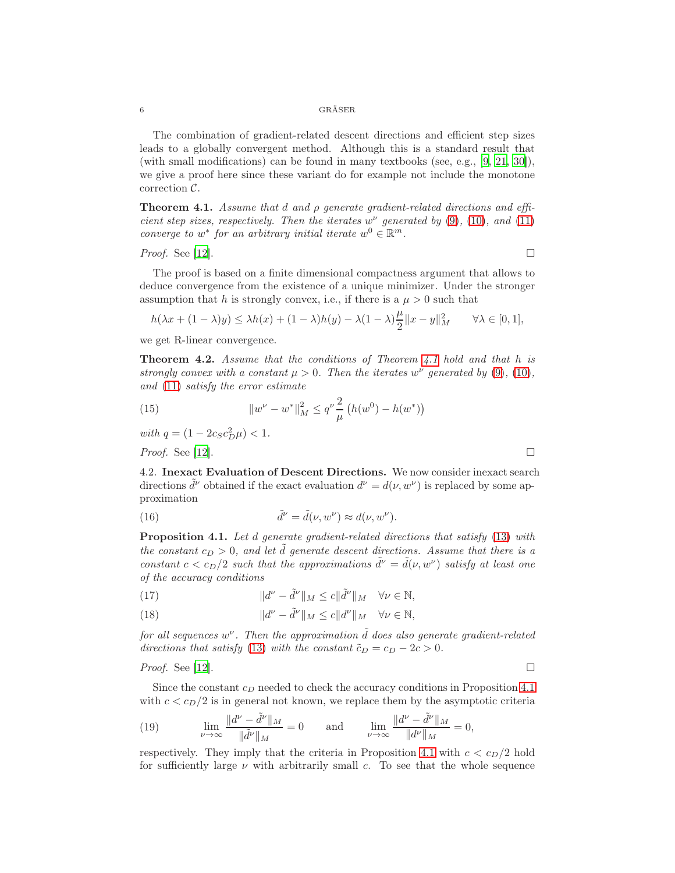The combination of gradient-related descent directions and efficient step sizes leads to a globally convergent method. Although this is a standard result that (with small modifications) can be found in many textbooks (see, e.g., [\[9](#page-22-7), [21,](#page-23-0) [30\]](#page-23-1)), we give a proof here since these variant do for example not include the monotone correction C.

<span id="page-5-0"></span>**Theorem 4.1.** Assume that d and  $\rho$  generate gradient-related directions and efficient step sizes, respectively. Then the iterates  $w^{\nu}$  generated by [\(9\)](#page-4-1), [\(10\)](#page-4-2), and [\(11\)](#page-4-3) converge to  $w^*$  for an arbitrary initial iterate  $w^0 \in \mathbb{R}^m$ .

# *Proof.* See [\[12](#page-22-6)].

The proof is based on a finite dimensional compactness argument that allows to deduce convergence from the existence of a unique minimizer. Under the stronger assumption that h is strongly convex, i.e., if there is a  $\mu > 0$  such that

$$
h(\lambda x + (1 - \lambda)y) \le \lambda h(x) + (1 - \lambda)h(y) - \lambda(1 - \lambda)\frac{\mu}{2}||x - y||_M^2 \quad \forall \lambda \in [0, 1],
$$

we get R-linear convergence.

<span id="page-5-4"></span>**Theorem 4.2.** Assume that the conditions of Theorem [4.1](#page-5-0) hold and that h is strongly convex with a constant  $\mu > 0$ . Then the iterates w<sup>v</sup> generated by [\(9\)](#page-4-1), [\(10\)](#page-4-2), and [\(11\)](#page-4-3) satisfy the error estimate

(15) 
$$
\|w^{\nu} - w^*\|_M^2 \le q^{\nu} \frac{2}{\mu} \left( h(w^0) - h(w^*) \right)
$$

with  $q = (1 - 2c_S c_D^2 \mu) < 1$ .

*Proof.* See [\[12](#page-22-6)].

4.2. Inexact Evaluation of Descent Directions. We now consider inexact search directions  $\tilde{d}^{\nu}$  obtained if the exact evaluation  $d^{\nu} = d(\nu, w^{\nu})$  is replaced by some approximation

(16) 
$$
\tilde{d}^{\nu} = \tilde{d}(\nu, w^{\nu}) \approx d(\nu, w^{\nu}).
$$

<span id="page-5-1"></span>**Proposition 4.1.** Let d generate gradient-related directions that satisfy [\(13\)](#page-4-0) with the constant  $c_D > 0$ , and let  $\tilde{d}$  generate descent directions. Assume that there is a constant  $c < c_D/2$  such that the approximations  $\tilde{d}^{\nu} = \tilde{d}(\nu, w^{\nu})$  satisfy at least one of the accuracy conditions

<span id="page-5-2"></span>(17) 
$$
\|d^{\nu} - \tilde{d}^{\nu}\|_{M} \leq c \|\tilde{d}^{\nu}\|_{M} \quad \forall \nu \in \mathbb{N},
$$

<span id="page-5-3"></span>(18) 
$$
\|d^{\nu} - \tilde{d}^{\nu}\|_{M} \leq c \|d^{\nu}\|_{M} \quad \forall \nu \in \mathbb{N},
$$

for all sequences  $w^{\nu}$ . Then the approximation  $\tilde{d}$  does also generate gradient-related directions that satisfy [\(13\)](#page-4-0) with the constant  $\tilde{c}_D = c_D - 2c > 0$ .

*Proof.* See [\[12](#page-22-6)].

Since the constant  $c_D$  needed to check the accuracy conditions in Proposition [4.1](#page-5-1) with  $c < c_D/2$  is in general not known, we replace them by the asymptotic criteria

(19) 
$$
\lim_{\nu \to \infty} \frac{\|d^{\nu} - \tilde{d}^{\nu}\|_{M}}{\|\tilde{d}^{\nu}\|_{M}} = 0 \quad \text{and} \quad \lim_{\nu \to \infty} \frac{\|d^{\nu} - \tilde{d}^{\nu}\|_{M}}{\|d^{\nu}\|_{M}} = 0,
$$

respectively. They imply that the criteria in Proposition [4.1](#page-5-1) with  $c < c<sub>D</sub>/2$  hold for sufficiently large  $\nu$  with arbitrarily small c. To see that the whole sequence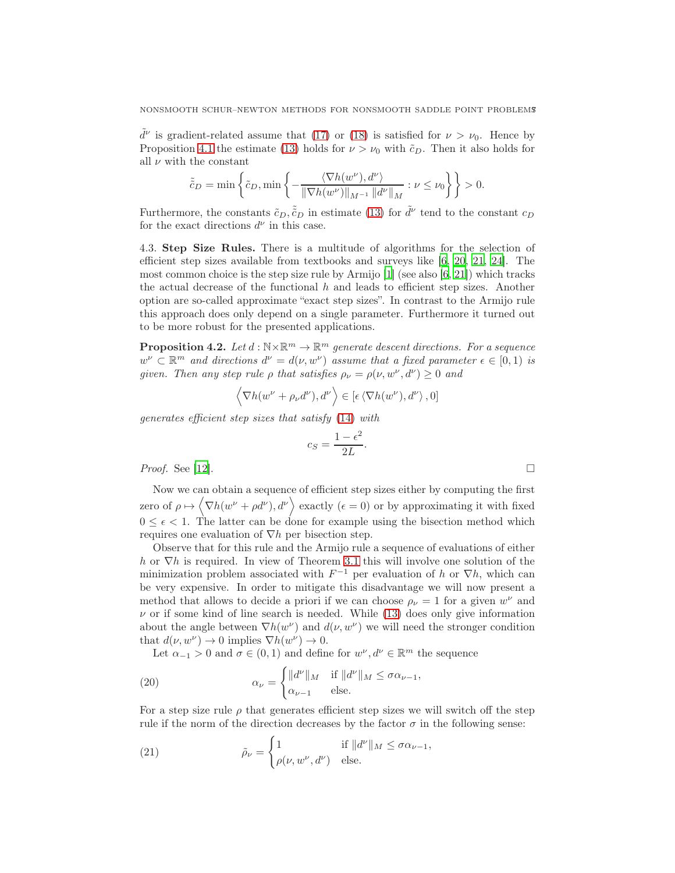$\tilde{d}^{\nu}$  is gradient-related assume that [\(17\)](#page-5-2) or [\(18\)](#page-5-3) is satisfied for  $\nu > \nu_0$ . Hence by Proposition [4.1](#page-5-1) the estimate [\(13\)](#page-4-0) holds for  $\nu > \nu_0$  with  $\tilde{c}_D$ . Then it also holds for all  $\nu$  with the constant

$$
\tilde{c}_D = \min\left\{\tilde{c}_D, \min\left\{-\frac{\langle \nabla h(w^{\nu}), d^{\nu} \rangle}{\|\nabla h(w^{\nu})\|_{M^{-1}} \|d^{\nu}\|_{M}} : \nu \leq \nu_0\right\}\right\} > 0.
$$

Furthermore, the constants  $\tilde{c}_D, \tilde{\tilde{c}}_D$  in estimate [\(13\)](#page-4-0) for  $\tilde{d}^{\nu}$  tend to the constant  $c_D$ for the exact directions  $d^{\nu}$  in this case.

4.3. Step Size Rules. There is a multitude of algorithms for the selection of efficient step sizes available from textbooks and surveys like [\[6](#page-22-8), [20](#page-23-2), [21](#page-23-0), [24\]](#page-23-3). The most common choice is the step size rule by Armijo  $[1]$  (see also  $[6, 21]$  $[6, 21]$  $[6, 21]$ ) which tracks the actual decrease of the functional  $h$  and leads to efficient step sizes. Another option are so-called approximate "exact step sizes". In contrast to the Armijo rule this approach does only depend on a single parameter. Furthermore it turned out to be more robust for the presented applications.

**Proposition 4.2.** Let  $d : \mathbb{N} \times \mathbb{R}^m \to \mathbb{R}^m$  generate descent directions. For a sequence  $w^{\nu} \subset \mathbb{R}^m$  and directions  $d^{\nu} = d(\nu, w^{\nu})$  assume that a fixed parameter  $\epsilon \in [0, 1)$  is given. Then any step rule  $\rho$  that satisfies  $\rho_{\nu} = \rho(\nu, w^{\nu}, d^{\nu}) \geq 0$  and

$$
\langle \nabla h(w^{\nu} + \rho_{\nu} d^{\nu}), d^{\nu} \rangle \in [\epsilon \langle \nabla h(w^{\nu}), d^{\nu} \rangle, 0]
$$

generates efficient step sizes that satisfy [\(14\)](#page-4-4) with

$$
c_S = \frac{1 - \epsilon^2}{2L}
$$

.

*Proof.* See [\[12](#page-22-6)].

Now we can obtain a sequence of efficient step sizes either by computing the first zero of  $\rho \mapsto \langle \nabla h(w^{\nu} + \rho d^{\nu}), d^{\nu} \rangle$  exactly  $(\epsilon = 0)$  or by approximating it with fixed  $0 \leq \epsilon < 1$ . The latter can be done for example using the bisection method which requires one evaluation of  $\nabla h$  per bisection step.

Observe that for this rule and the Armijo rule a sequence of evaluations of either h or  $\nabla h$  is required. In view of Theorem [3.1](#page-2-3) this will involve one solution of the minimization problem associated with  $F^{-1}$  per evaluation of h or  $\nabla h$ , which can be very expensive. In order to mitigate this disadvantage we will now present a method that allows to decide a priori if we can choose  $\rho_{\nu} = 1$  for a given  $w^{\nu}$  and  $\nu$  or if some kind of line search is needed. While [\(13\)](#page-4-0) does only give information about the angle between  $\nabla h(w^{\nu})$  and  $d(\nu, w^{\nu})$  we will need the stronger condition that  $d(\nu, w^{\nu}) \to 0$  implies  $\nabla h(w^{\nu}) \to 0$ .

Let  $\alpha_{-1} > 0$  and  $\sigma \in (0, 1)$  and define for  $w^{\nu}, d^{\nu} \in \mathbb{R}^m$  the sequence

<span id="page-6-0"></span>(20) 
$$
\alpha_{\nu} = \begin{cases} ||d^{\nu}||_{M} & \text{if } ||d^{\nu}||_{M} \leq \sigma \alpha_{\nu-1}, \\ \alpha_{\nu-1} & \text{else.} \end{cases}
$$

For a step size rule  $\rho$  that generates efficient step sizes we will switch off the step rule if the norm of the direction decreases by the factor  $\sigma$  in the following sense:

<span id="page-6-1"></span>(21) 
$$
\tilde{\rho}_{\nu} = \begin{cases} 1 & \text{if } \|d^{\nu}\|_{M} \leq \sigma \alpha_{\nu-1}, \\ \rho(\nu, w^{\nu}, d^{\nu}) & \text{else.} \end{cases}
$$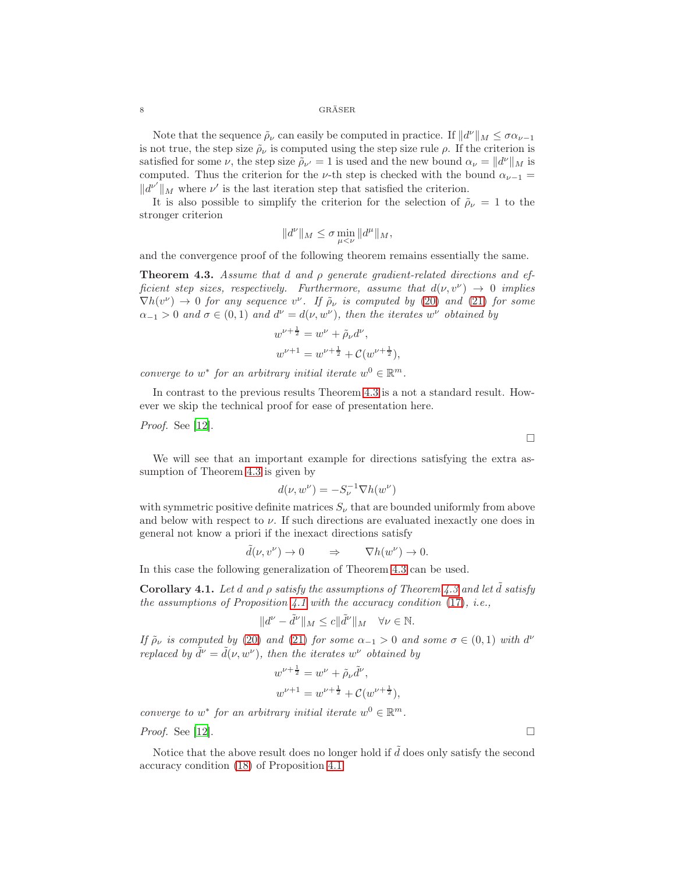Note that the sequence  $\tilde{\rho}_{\nu}$  can easily be computed in practice. If  $||d^{\nu}||_M \leq \sigma \alpha_{\nu-1}$ is not true, the step size  $\rho_{\nu}$  is computed using the step size rule  $\rho$ . If the criterion is satisfied for some  $\nu$ , the step size  $\tilde{\rho}_{\nu'} = 1$  is used and the new bound  $\alpha_{\nu} = ||d^{\nu}||_{M}$  is computed. Thus the criterion for the v-th step is checked with the bound  $\alpha_{\nu-1} =$  $||d^{\nu'}||_M$  where  $\nu'$  is the last iteration step that satisfied the criterion.

It is also possible to simplify the criterion for the selection of  $\tilde{\rho}_{\nu} = 1$  to the stronger criterion

$$
||d^{\nu}||_M \leq \sigma \min_{\mu < \nu} ||d^{\mu}||_M,
$$

and the convergence proof of the following theorem remains essentially the same.

<span id="page-7-0"></span>**Theorem 4.3.** Assume that d and  $\rho$  generate gradient-related directions and efficient step sizes, respectively. Furthermore, assume that  $d(\nu, v^{\nu}) \rightarrow 0$  implies  $\nabla h(v^{\nu}) \rightarrow 0$  for any sequence  $v^{\nu}$ . If  $\tilde{\rho}_{\nu}$  is computed by [\(20\)](#page-6-0) and [\(21\)](#page-6-1) for some  $\alpha_{-1} > 0$  and  $\sigma \in (0,1)$  and  $d^{\nu} = d(\nu, w^{\nu})$ , then the iterates  $w^{\nu}$  obtained by

$$
w^{\nu + \frac{1}{2}} = w^{\nu} + \tilde{\rho}_{\nu} d^{\nu},
$$
  

$$
w^{\nu + 1} = w^{\nu + \frac{1}{2}} + \mathcal{C}(w^{\nu + \frac{1}{2}}),
$$

converge to  $w^*$  for an arbitrary initial iterate  $w^0 \in \mathbb{R}^m$ .

In contrast to the previous results Theorem [4.3](#page-7-0) is a not a standard result. However we skip the technical proof for ease of presentation here.

Proof. See [\[12](#page-22-6)].

 $\Box$ 

We will see that an important example for directions satisfying the extra assumption of Theorem [4.3](#page-7-0) is given by

$$
d(\nu, w^{\nu}) = -S_{\nu}^{-1} \nabla h(w^{\nu})
$$

with symmetric positive definite matrices  $S_{\nu}$  that are bounded uniformly from above and below with respect to  $\nu$ . If such directions are evaluated inexactly one does in general not know a priori if the inexact directions satisfy

$$
\tilde{d}(\nu, v^{\nu}) \to 0 \qquad \Rightarrow \qquad \nabla h(w^{\nu}) \to 0.
$$

In this case the following generalization of Theorem [4.3](#page-7-0) can be used.

**Corollary 4.1.** Let d and  $\rho$  satisfy the assumptions of Theorem [4.3](#page-7-0) and let  $\tilde{d}$  satisfy the assumptions of Proposition [4.1](#page-5-1) with the accuracy condition  $(17)$ , i.e.,

$$
||d^{\nu} - \tilde{d}^{\nu}||_M \leq c||\tilde{d}^{\nu}||_M \quad \forall \nu \in \mathbb{N}.
$$

If  $\tilde{\rho}_{\nu}$  is computed by [\(20\)](#page-6-0) and [\(21\)](#page-6-1) for some  $\alpha_{-1} > 0$  and some  $\sigma \in (0,1)$  with  $d^{\nu}$ replaced by  $\tilde{d}^{\nu} = \tilde{d}(\nu, w^{\nu})$ , then the iterates  $w^{\nu}$  obtained by

$$
w^{\nu + \frac{1}{2}} = w^{\nu} + \tilde{\rho}_{\nu} \tilde{d}^{\nu},
$$
  

$$
w^{\nu + 1} = w^{\nu + \frac{1}{2}} + C(w^{\nu + \frac{1}{2}}),
$$

converge to  $w^*$  for an arbitrary initial iterate  $w^0 \in \mathbb{R}^m$ .

*Proof.* See [\[12](#page-22-6)].

Notice that the above result does no longer hold if  $\tilde{d}$  does only satisfy the second accuracy condition [\(18\)](#page-5-3) of Proposition [4.1.](#page-5-1)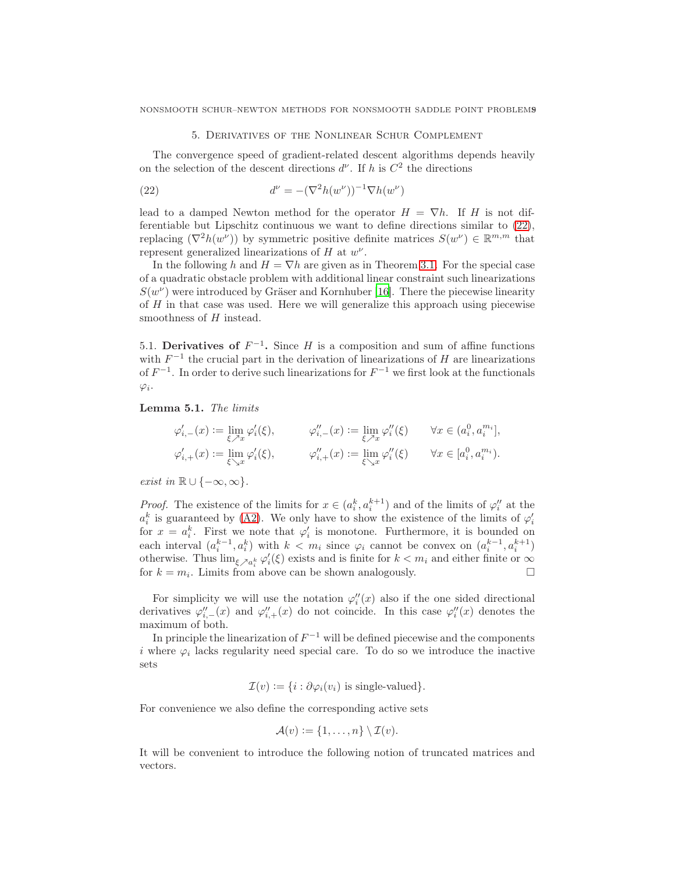# 5. Derivatives of the Nonlinear Schur Complement

<span id="page-8-0"></span>The convergence speed of gradient-related descent algorithms depends heavily on the selection of the descent directions  $d^{\nu}$ . If h is  $C^2$  the directions

<span id="page-8-1"></span>(22) 
$$
d^{\nu} = -(\nabla^2 h(w^{\nu}))^{-1} \nabla h(w^{\nu})
$$

lead to a damped Newton method for the operator  $H = \nabla h$ . If H is not differentiable but Lipschitz continuous we want to define directions similar to [\(22\)](#page-8-1), replacing  $(\nabla^2 h(w^{\nu}))$  by symmetric positive definite matrices  $S(w^{\nu}) \in \mathbb{R}^{m,m}$  that represent generalized linearizations of  $H$  at  $w^{\nu}$ .

In the following h and  $H = \nabla h$  are given as in Theorem [3.1.](#page-2-3) For the special case of a quadratic obstacle problem with additional linear constraint such linearizations  $S(w^{\nu})$  were introduced by Gräser and Kornhuber [\[16\]](#page-22-2). There the piecewise linearity of H in that case was used. Here we will generalize this approach using piecewise smoothness of H instead.

5.1. Derivatives of  $F^{-1}$ . Since H is a composition and sum of affine functions with  $F^{-1}$  the crucial part in the derivation of linearizations of H are linearizations of  $F^{-1}$ . In order to derive such linearizations for  $F^{-1}$  we first look at the functionals  $\varphi_i$ .

Lemma 5.1. The limits

$$
\begin{aligned} \varphi'_{i,-}(x) &:= \lim_{\xi \nearrow x} \varphi'_i(\xi), & \qquad \varphi''_{i,-}(x) := \lim_{\xi \nearrow x} \varphi''_i(\xi) & \qquad \forall x \in (a_i^0, a_i^{m_i}],\\ \varphi'_{i,+}(x) &:= \lim_{\xi \searrow x} \varphi'_i(\xi), & \qquad \varphi''_{i,+}(x) := \lim_{\xi \searrow x} \varphi''_i(\xi) & \qquad \forall x \in [a_i^0, a_i^{m_i}). \end{aligned}
$$

*exist in*  $\mathbb{R} \cup \{-\infty, \infty\}.$ 

*Proof.* The existence of the limits for  $x \in (a_i^k, a_i^{k+1})$  and of the limits of  $\varphi_i''$  at the  $a_i^k$  is guaranteed by [\(A2\)](#page-1-2). We only have to show the existence of the limits of  $\varphi_i'$ for  $x = a_i^k$ . First we note that  $\varphi'_i$  is monotone. Furthermore, it is bounded on each interval  $(a_i^{k-1}, a_i^k)$  with  $k < m_i$  since  $\varphi_i$  cannot be convex on  $(a_i^{k-1}, a_i^{k+1})$ otherwise. Thus  $\lim_{\xi \nearrow a_i^k} \varphi_i'(\xi)$  exists and is finite for  $k < m_i$  and either finite or  $\infty$ for  $k = m_i$ . Limits from above can be shown analogously.

For simplicity we will use the notation  $\varphi''_i(x)$  also if the one sided directional derivatives  $\varphi''_{i,-}(x)$  and  $\varphi''_{i,+}(x)$  do not coincide. In this case  $\varphi''_i(x)$  denotes the maximum of both.

In principle the linearization of  $F^{-1}$  will be defined piecewise and the components i where  $\varphi_i$  lacks regularity need special care. To do so we introduce the inactive sets

$$
\mathcal{I}(v) := \{ i : \partial \varphi_i(v_i) \text{ is single-valued} \}.
$$

For convenience we also define the corresponding active sets

$$
\mathcal{A}(v) := \{1, \ldots, n\} \setminus \mathcal{I}(v).
$$

It will be convenient to introduce the following notion of truncated matrices and vectors.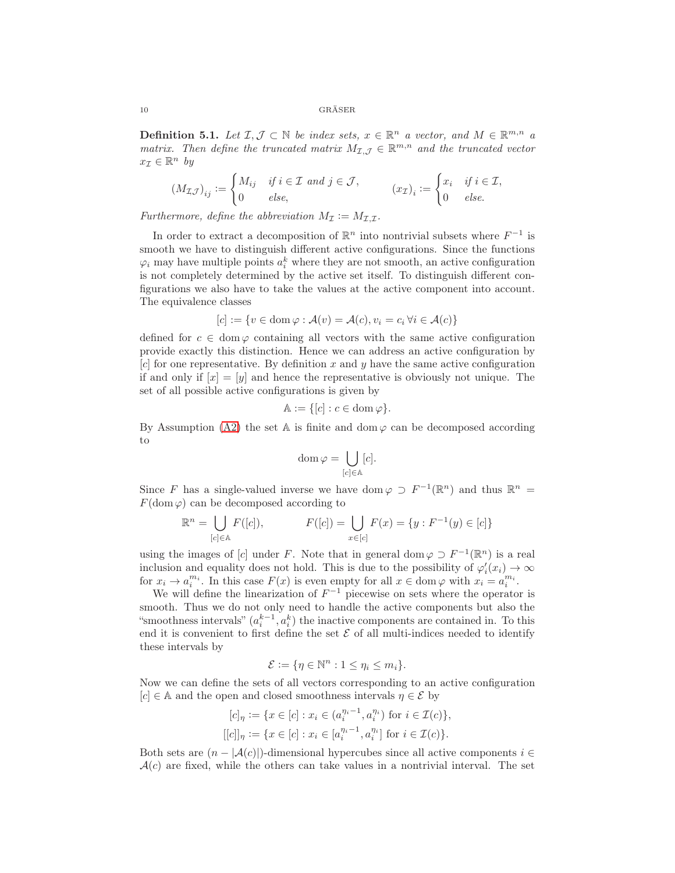**Definition 5.1.** Let  $\mathcal{I}, \mathcal{J} \subset \mathbb{N}$  be index sets,  $x \in \mathbb{R}^n$  a vector, and  $M \in \mathbb{R}^{m,n}$  a matrix. Then define the truncated matrix  $M_{\mathcal{I},\mathcal{J}} \in \mathbb{R}^{m,n}$  and the truncated vector  $x_{\mathcal{I}} \in \mathbb{R}^n$  by

$$
(M_{\mathcal{I}\mathcal{J}})_{ij} := \begin{cases} M_{ij} & \text{if } i \in \mathcal{I} \text{ and } j \in \mathcal{J}, \\ 0 & \text{else,} \end{cases} \qquad (x_{\mathcal{I}})_i := \begin{cases} x_i & \text{if } i \in \mathcal{I}, \\ 0 & \text{else.} \end{cases}
$$

Furthermore, define the abbreviation  $M_{\mathcal{I}} := M_{\mathcal{I},\mathcal{I}}$ .

In order to extract a decomposition of  $\mathbb{R}^n$  into nontrivial subsets where  $F^{-1}$  is smooth we have to distinguish different active configurations. Since the functions  $\varphi_i$  may have multiple points  $a_i^k$  where they are not smooth, an active configuration is not completely determined by the active set itself. To distinguish different configurations we also have to take the values at the active component into account. The equivalence classes

$$
[c] := \{ v \in \text{dom}\,\varphi : \mathcal{A}(v) = \mathcal{A}(c), v_i = c_i \,\forall i \in \mathcal{A}(c) \}
$$

defined for  $c \in \text{dom}\,\varphi$  containing all vectors with the same active configuration provide exactly this distinction. Hence we can address an active configuration by  $[c]$  for one representative. By definition x and y have the same active configuration if and only if  $[x] = [y]$  and hence the representative is obviously not unique. The set of all possible active configurations is given by

$$
\mathbb{A} := \{ [c] : c \in \operatorname{dom} \varphi \}.
$$

By Assumption [\(A2\)](#page-1-2) the set A is finite and dom  $\varphi$  can be decomposed according to

$$
\operatorname{dom}\varphi=\bigcup_{[c]\in\mathbb{A}}[c].
$$

Since F has a single-valued inverse we have dom  $\varphi \supset F^{-1}(\mathbb{R}^n)$  and thus  $\mathbb{R}^n =$  $F(\text{dom }\varphi)$  can be decomposed according to

$$
\mathbb{R}^n = \bigcup_{[c] \in \mathbb{A}} F([c]), \qquad F([c]) = \bigcup_{x \in [c]} F(x) = \{y : F^{-1}(y) \in [c] \}
$$

using the images of [c] under F. Note that in general dom  $\varphi \supset F^{-1}(\mathbb{R}^n)$  is a real inclusion and equality does not hold. This is due to the possibility of  $\varphi_i'(x_i) \to \infty$ for  $x_i \to a_i^{m_i}$ . In this case  $F(x)$  is even empty for all  $x \in \text{dom}\,\varphi$  with  $x_i = a_i^{m_i}$ .

We will define the linearization of  $F^{-1}$  piecewise on sets where the operator is smooth. Thus we do not only need to handle the active components but also the "smoothness intervals"  $(a_i^{k-1}, a_i^k)$  the inactive components are contained in. To this end it is convenient to first define the set  $\mathcal E$  of all multi-indices needed to identify these intervals by

$$
\mathcal{E} := \{ \eta \in \mathbb{N}^n : 1 \le \eta_i \le m_i \}.
$$

Now we can define the sets of all vectors corresponding to an active configuration  $[c] \in A$  and the open and closed smoothness intervals  $\eta \in \mathcal{E}$  by

$$
[c]_{\eta} := \{ x \in [c] : x_i \in (a_i^{\eta_i - 1}, a_i^{\eta_i}) \text{ for } i \in \mathcal{I}(c) \},
$$
  

$$
[[c]]_{\eta} := \{ x \in [c] : x_i \in [a_i^{\eta_i - 1}, a_i^{\eta_i}] \text{ for } i \in \mathcal{I}(c) \}.
$$

Both sets are  $(n - |A(c)|)$ -dimensional hypercubes since all active components  $i \in$  $A(c)$  are fixed, while the others can take values in a nontrivial interval. The set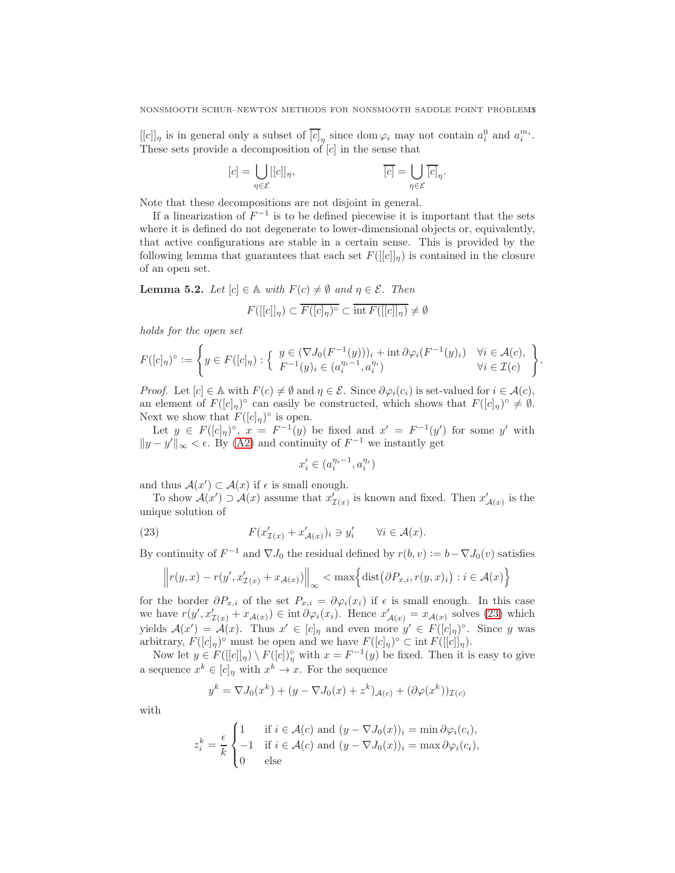$[[c]]_\eta$  is in general only a subset of  $\overline{[c]}_\eta$  since dom  $\varphi_i$  may not contain  $a_i^0$  and  $a_i^{m_i}$ . These sets provide a decomposition of  $[c]$  in the sense that

$$
[c] = \bigcup_{\eta \in \mathcal{E}} [[c]]_{\eta}, \qquad \overline{[c]} = \bigcup_{\eta \in \mathcal{E}} \overline{[c]}_{\eta}.
$$

Note that these decompositions are not disjoint in general.

If a linearization of  $F^{-1}$  is to be defined piecewise it is important that the sets where it is defined do not degenerate to lower-dimensional objects or, equivalently, that active configurations are stable in a certain sense. This is provided by the following lemma that guarantees that each set  $F([[c]]_n)$  is contained in the closure of an open set.

<span id="page-10-1"></span>**Lemma 5.2.** Let  $[c] \in \mathbb{A}$  with  $F(c) \neq \emptyset$  and  $\eta \in \mathcal{E}$ . Then

$$
F([[c]]_{\eta}) \subset \overline{F([c]_{\eta})^{\circ}} \subset \overline{\text{int } F([[c]]_{\eta})} \neq \emptyset
$$

holds for the open set

$$
F([c]_{\eta})^{\circ} := \left\{ y \in F([c]_{\eta}) : \left\{ \begin{array}{l} y \in (\nabla J_0(F^{-1}(y)))_i + \operatorname{int} \partial \varphi_i(F^{-1}(y)_i) & \forall i \in \mathcal{A}(c), \\ F^{-1}(y)_i \in (a_i^{\eta_i - 1}, a_i^{\eta_i}) & \forall i \in \mathcal{I}(c) \end{array} \right\}.
$$

*Proof.* Let  $[c] \in A$  with  $F(c) \neq \emptyset$  and  $\eta \in \mathcal{E}$ . Since  $\partial \varphi_i(c_i)$  is set-valued for  $i \in A(c)$ , an element of  $F([c]_{\eta})^{\circ}$  can easily be constructed, which shows that  $F([c]_{\eta})^{\circ} \neq \emptyset$ . Next we show that  $F([c]_{\eta})^{\circ}$  is open.

Let  $y \in F([c]_{\eta})^{\circ}$ ,  $x = F^{-1}(y)$  be fixed and  $x' = F^{-1}(y')$  for some y' with  $||y - y'||_{\infty} < \epsilon$ . By [\(A2\)](#page-1-2) and continuity of  $F^{-1}$  we instantly get

$$
x'_i\in(a_i^{\eta_i-1},a_i^{\eta_i})
$$

and thus  $\mathcal{A}(x') \subset \mathcal{A}(x)$  if  $\epsilon$  is small enough.

To show  $\mathcal{A}(x') \supset \mathcal{A}(x)$  assume that  $x'_{\mathcal{I}(x)}$  is known and fixed. Then  $x'_{\mathcal{A}(x)}$  is the unique solution of

<span id="page-10-0"></span>(23) 
$$
F(x'_{\mathcal{I}(x)} + x'_{\mathcal{A}(x)})_i \ni y'_i \quad \forall i \in \mathcal{A}(x).
$$

By continuity of  $F^{-1}$  and  $\nabla J_0$  the residual defined by  $r(b, v) := b - \nabla J_0(v)$  satisfies

$$
\left\| r(y,x) - r(y',x'_{\mathcal{I}(x)} + x_{\mathcal{A}(x)}) \right\|_{\infty} < \max \left\{ \text{dist} \left( \partial P_{x,i}, r(y,x)_i \right) : i \in \mathcal{A}(x) \right\}
$$

for the border  $\partial P_{x,i}$  of the set  $P_{x,i} = \partial \varphi_i(x_i)$  if  $\epsilon$  is small enough. In this case we have  $r(y', x'_{\mathcal{I}(x)} + x_{\mathcal{A}(x)}) \in \text{int } \partial \varphi_i(x_i)$ . Hence  $x'_{\mathcal{A}(x)} = x_{\mathcal{A}(x)}$  solves [\(23\)](#page-10-0) which yields  $\mathcal{A}(x') = \mathcal{A}(x)$ . Thus  $x' \in [c]_{\eta}$  and even more  $y' \in F([c]_{\eta})^{\circ}$ . Since y was arbitrary,  $F([c]_{\eta})^{\circ}$  must be open and we have  $F([c]_{\eta})^{\circ} \subset \text{int } F([[c]]_{\eta}).$ 

Now let  $y \in F([[c]]_{\eta}) \setminus F([c])_{\eta}^{\circ}$  with  $x = F^{-1}(y)$  be fixed. Then it is easy to give a sequence  $x^k \in [c]_\eta$  with  $x^k \to x$ . For the sequence

$$
y^{k} = \nabla J_0(x^{k}) + (y - \nabla J_0(x) + z^{k})_{\mathcal{A}(c)} + (\partial \varphi(x^{k}))_{\mathcal{I}(c)}
$$

with

$$
z_i^k = \frac{\epsilon}{k} \begin{cases} 1 & \text{if } i \in \mathcal{A}(c) \text{ and } (y - \nabla J_0(x))_i = \min \partial \varphi_i(c_i), \\ -1 & \text{if } i \in \mathcal{A}(c) \text{ and } (y - \nabla J_0(x))_i = \max \partial \varphi_i(c_i), \\ 0 & \text{else} \end{cases}
$$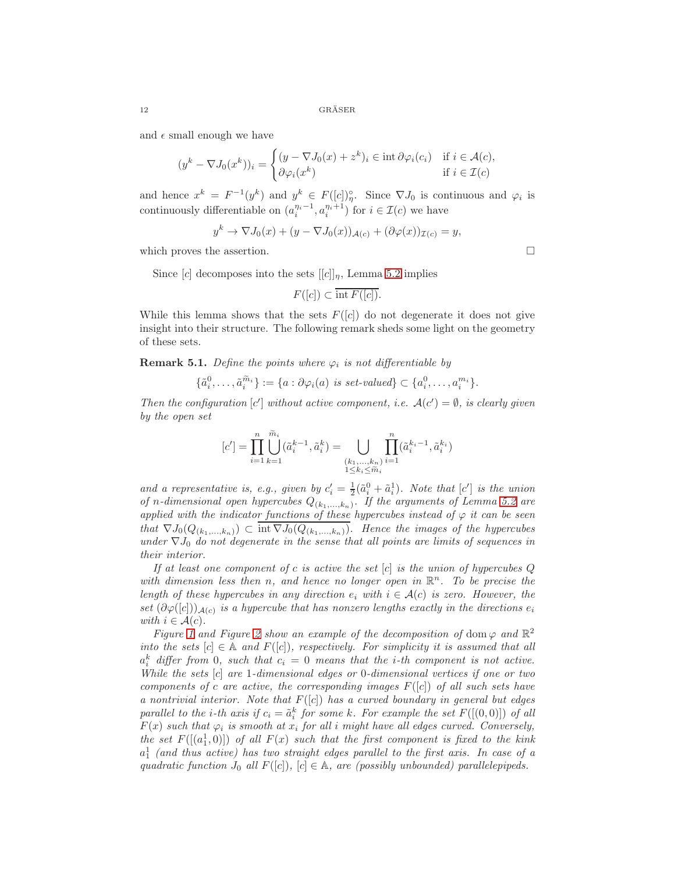and  $\epsilon$  small enough we have

$$
(y^k - \nabla J_0(x^k))_i = \begin{cases} (y - \nabla J_0(x) + z^k)_i \in \text{int } \partial \varphi_i(c_i) & \text{if } i \in \mathcal{A}(c), \\ \partial \varphi_i(x^k) & \text{if } i \in \mathcal{I}(c) \end{cases}
$$

and hence  $x^k = F^{-1}(y^k)$  and  $y^k \in F([c])_y^{\circ}$ . Since  $\nabla J_0$  is continuous and  $\varphi_i$  is continuously differentiable on  $(a_i^{\eta_i-1}, a_i^{\eta_i+1})$  for  $i \in \mathcal{I}(c)$  we have

$$
y^{k} \to \nabla J_{0}(x) + (y - \nabla J_{0}(x))_{\mathcal{A}(c)} + (\partial \varphi(x))_{\mathcal{I}(c)} = y,
$$

which proves the assertion.  $\Box$ 

Since  $[c]$  decomposes into the sets  $[[c]]_n$ , Lemma [5.2](#page-10-1) implies

$$
F([c]) \subset \overline{\mathrm{int}\, F([c])}.
$$

While this lemma shows that the sets  $F([c])$  do not degenerate it does not give insight into their structure. The following remark sheds some light on the geometry of these sets.

**Remark 5.1.** Define the points where  $\varphi_i$  is not differentiable by

$$
\{\tilde{a}_i^0,\ldots,\tilde{a}_i^{\tilde{m}_i}\}:=\{a:\partial\varphi_i(a)\ \emph{is set-valued}\}\subset\{a_i^0,\ldots,a_i^{m_i}\}.
$$

Then the configuration  $[c']$  without active component, i.e.  $\mathcal{A}(c') = \emptyset$ , is clearly given by the open set

$$
[c'] = \prod_{i=1}^n \bigcup_{k=1}^{\widetilde{m}_i} (\widetilde{a}_i^{k-1}, \widetilde{a}_i^k) = \bigcup_{\substack{(k_1, \ldots, k_n) \\ 1 \le k_i \le \widetilde{m}_i}} \prod_{i=1}^n (\widetilde{a}_i^{k_i-1}, \widetilde{a}_i^{k_i})
$$

and a representative is, e.g., given by  $c'_i = \frac{1}{2}(\tilde{a}_i^0 + \tilde{a}_i^1)$ . Note that  $[c']$  is the union of n-dimensional open hypercubes  $Q_{(k_1,...,k_n)}$ . If the arguments of Lemma [5.2](#page-10-1) are applied with the indicator functions of these hypercubes instead of  $\varphi$  it can be seen that  $\nabla J_0(Q_{(k_1,...,k_n)}) \subset \overline{\text{int }\nabla J_0(Q_{(k_1,...,k_n)})}$ . Hence the images of the hypercubes under  $\nabla J_0$  do not degenerate in the sense that all points are limits of sequences in their interior.

If at least one component of c is active the set  $[c]$  is the union of hypercubes  $Q$ with dimension less then n, and hence no longer open in  $\mathbb{R}^n$ . To be precise the length of these hypercubes in any direction  $e_i$  with  $i \in \mathcal{A}(c)$  is zero. However, the set  $(\partial \varphi([c]))_{\mathcal{A}(c)}$  is a hypercube that has nonzero lengths exactly in the directions  $e_i$ with  $i \in \mathcal{A}(c)$ .

Figure [1](#page-12-0) and Figure [2](#page-12-1) show an example of the decomposition of dom  $\varphi$  and  $\mathbb{R}^2$ into the sets  $[c] \in A$  and  $F([c])$ , respectively. For simplicity it is assumed that all  $a_i^k$  differ from 0, such that  $c_i = 0$  means that the *i*-th component is not active. While the sets [c] are 1-dimensional edges or 0-dimensional vertices if one or two components of c are active, the corresponding images  $F([c])$  of all such sets have a nontrivial interior. Note that  $F([c])$  has a curved boundary in general but edges parallel to the *i*-th axis if  $c_i = \tilde{a}_i^k$  for some k. For example the set  $F([(0,0)])$  of all  $F(x)$  such that  $\varphi_i$  is smooth at  $x_i$  for all i might have all edges curved. Conversely, the set  $F([a_1^1, 0)])$  of all  $F(x)$  such that the first component is fixed to the kink  $a_1$  (and thus active) has two straight edges parallel to the first axis. In case of a quadratic function  $J_0$  all  $F([c])$ ,  $[c] \in \mathbb{A}$ , are (possibly unbounded) parallelepipeds.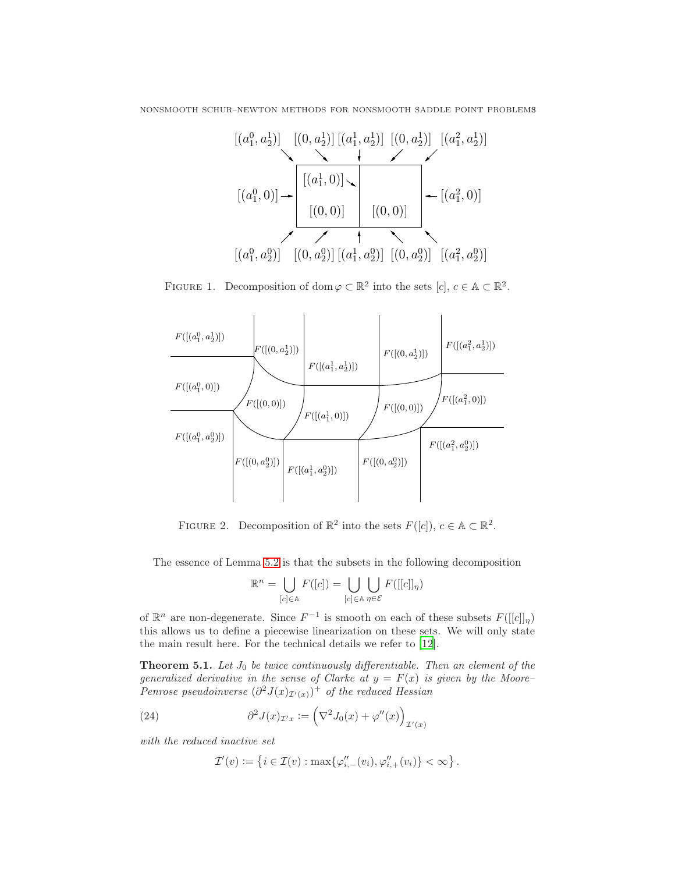NONSMOOTH SCHUR–NEWTON METHODS FOR NONSMOOTH SADDLE POINT PROBLEMS

$$
[(a_1^0, a_2^1)] \t[(0, a_2^1)] [(a_1^1, a_2^1)] [(0, a_2^1)] [(a_1^2, a_2^1)]
$$
  
\n
$$
[(a_1^0, 0)] \t\t\rightarrow \t[(a_1^1, 0)] \t\t\t[(0, 0)] \t\t\t[(0, 0)]
$$
  
\n
$$
[(a_1^0, a_2^0)] [(0, a_2^0)] [(a_1^1, a_2^0)] [(0, a_2^0)] [(a_1^2, a_2^0)]
$$

<span id="page-12-0"></span>FIGURE 1. Decomposition of dom  $\varphi \subset \mathbb{R}^2$  into the sets  $[c], c \in \mathbb{A} \subset \mathbb{R}^2$ .



FIGURE 2. Decomposition of  $\mathbb{R}^2$  into the sets  $F([c])$ ,  $c \in \mathbb{A} \subset \mathbb{R}^2$ .

The essence of Lemma [5.2](#page-10-1) is that the subsets in the following decomposition

<span id="page-12-1"></span>
$$
\mathbb{R}^n = \bigcup_{[c] \in \mathbb{A}} F([c]) = \bigcup_{[c] \in \mathbb{A}} \bigcup_{\eta \in \mathcal{E}} F([[c]]_{\eta})
$$

of  $\mathbb{R}^n$  are non-degenerate. Since  $F^{-1}$  is smooth on each of these subsets  $F([[c]]_{\eta})$ this allows us to define a piecewise linearization on these sets. We will only state the main result here. For the technical details we refer to [\[12](#page-22-6)].

<span id="page-12-3"></span>**Theorem 5.1.** Let  $J_0$  be twice continuously differentiable. Then an element of the generalized derivative in the sense of Clarke at  $y = F(x)$  is given by the Moore-Penrose pseudoinverse  $(\partial^2 J(x)_{\mathcal{I}'(x)})^+$  of the reduced Hessian

<span id="page-12-2"></span>(24) 
$$
\partial^2 J(x)_{\mathcal{I}'x} := \left(\nabla^2 J_0(x) + \varphi''(x)\right)_{\mathcal{I}'(x)}
$$

with the reduced inactive set

$$
\mathcal{I}'(v) := \left\{ i \in \mathcal{I}(v) : \max \{ \varphi''_{i,-}(v_i), \varphi''_{i,+}(v_i) \} < \infty \right\}.
$$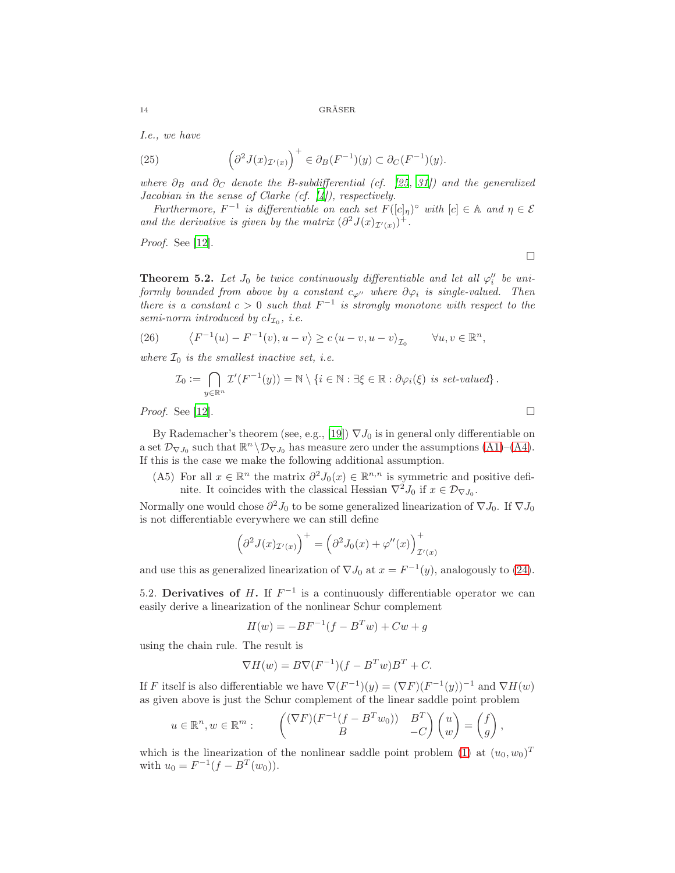I.e., we have

(25) 
$$
\left(\partial^2 J(x)_{\mathcal{I}'(x)}\right)^+ \in \partial_B(F^{-1})(y) \subset \partial_C(F^{-1})(y).
$$

where  $\partial_B$  and  $\partial_C$  denote the B-subdifferential (cf. [\[25,](#page-23-4) [31\]](#page-23-5)) and the generalized Jacobian in the sense of Clarke (cf.  $[4]$ ), respectively.

Furthermore,  $F^{-1}$  is differentiable on each set  $F([c]_{\eta})^{\circ}$  with  $[c] \in \mathbb{A}$  and  $\eta \in \mathcal{E}$ and the derivative is given by the matrix  $(\partial^2 J(x)_{\mathcal{I}'(x)})^+$ .

Proof. See [\[12](#page-22-6)].

 $\Box$ 

<span id="page-13-1"></span>**Theorem 5.2.** Let  $J_0$  be twice continuously differentiable and let all  $\varphi''_i$  be uniformly bounded from above by a constant  $c_{\varphi''}$  where  $\partial \varphi_i$  is single-valued. Then there is a constant  $c > 0$  such that  $F^{-1}$  is strongly monotone with respect to the semi-norm introduced by  $cI_{\mathcal{I}_0}$ , i.e.

(26) 
$$
\langle F^{-1}(u) - F^{-1}(v), u - v \rangle \ge c \langle u - v, u - v \rangle_{\mathcal{I}_0} \quad \forall u, v \in \mathbb{R}^n,
$$

where  $\mathcal{I}_0$  is the smallest inactive set, i.e.

$$
\mathcal{I}_0 := \bigcap_{y \in \mathbb{R}^n} \mathcal{I}'(F^{-1}(y)) = \mathbb{N} \setminus \{i \in \mathbb{N} : \exists \xi \in \mathbb{R} : \partial \varphi_i(\xi) \text{ is set-valued}\}.
$$

*Proof.* See [\[12](#page-22-6)].

By Rademacher's theorem (see, e.g., [\[19](#page-23-6)])  $\nabla J_0$  is in general only differentiable on a set  $\mathcal{D}_{\nabla J_0}$  such that  $\mathbb{R}^n \setminus \mathcal{D}_{\nabla J_0}$  has measure zero under the assumptions [\(A1\)](#page-1-1)–[\(A4\)](#page-1-3). If this is the case we make the following additional assumption.

<span id="page-13-0"></span>(A5) For all  $x \in \mathbb{R}^n$  the matrix  $\partial^2 J_0(x) \in \mathbb{R}^{n,n}$  is symmetric and positive definite. It coincides with the classical Hessian  $\nabla^2 J_0$  if  $x \in \mathcal{D}_{\nabla J_0}$ .

Normally one would chose  $\partial^2 J_0$  to be some generalized linearization of  $\nabla J_0$ . If  $\nabla J_0$ is not differentiable everywhere we can still define

$$
\left(\partial^2 J(x)_{\mathcal{I}'(x)}\right)^+ = \left(\partial^2 J_0(x) + \varphi''(x)\right)^+_{\mathcal{I}'(x)}
$$

and use this as generalized linearization of  $\nabla J_0$  at  $x = F^{-1}(y)$ , analogously to [\(24\)](#page-12-2).

5.2. Derivatives of H. If  $F^{-1}$  is a continuously differentiable operator we can easily derive a linearization of the nonlinear Schur complement

$$
H(w) = -BF^{-1}(f - B^T w) + Cw + g
$$

using the chain rule. The result is

$$
\nabla H(w) = B \nabla (F^{-1})(f - B^T w)B^T + C.
$$

If F itself is also differentiable we have  $\nabla (F^{-1})(y) = (\nabla F)(F^{-1}(y))^{-1}$  and  $\nabla H(w)$ as given above is just the Schur complement of the linear saddle point problem

$$
u \in \mathbb{R}^n, w \in \mathbb{R}^m
$$
: 
$$
\begin{pmatrix} (\nabla F)(F^{-1}(f - B^T w_0)) & B^T \\ B & -C \end{pmatrix} \begin{pmatrix} u \\ w \end{pmatrix} = \begin{pmatrix} f \\ g \end{pmatrix},
$$

which is the linearization of the nonlinear saddle point problem [\(1\)](#page-0-0) at  $(u_0, w_0)^T$ with  $u_0 = F^{-1}(f - B^T(w_0)).$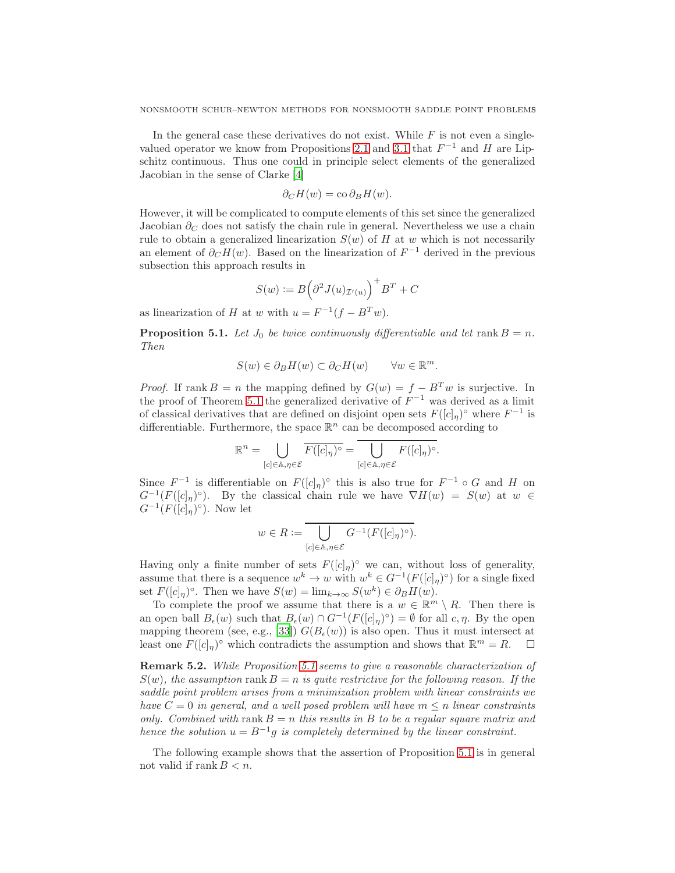In the general case these derivatives do not exist. While  $F$  is not even a single-valued operator we know from Propositions [2.1](#page-2-4) and [3.1](#page-2-2) that  $F^{-1}$  and H are Lipschitz continuous. Thus one could in principle select elements of the generalized Jacobian in the sense of Clarke [\[4](#page-22-10)]

$$
\partial_C H(w) = \cos \partial_B H(w).
$$

However, it will be complicated to compute elements of this set since the generalized Jacobian  $\partial_{\mathcal{C}}$  does not satisfy the chain rule in general. Nevertheless we use a chain rule to obtain a generalized linearization  $S(w)$  of H at w which is not necessarily an element of  $\partial_C H(w)$ . Based on the linearization of  $F^{-1}$  derived in the previous subsection this approach results in

$$
S(w):=B\Big(\partial^2 J(u)_{\mathcal{I}'(u)}\Big)^+B^T+C
$$

as linearization of H at w with  $u = F^{-1}(f - B^T w)$ .

<span id="page-14-0"></span>**Proposition 5.1.** Let  $J_0$  be twice continuously differentiable and let rank  $B = n$ . Then

$$
S(w) \in \partial_B H(w) \subset \partial_C H(w) \qquad \forall w \in \mathbb{R}^m.
$$

*Proof.* If rank  $B = n$  the mapping defined by  $G(w) = f - B<sup>T</sup>w$  is surjective. In the proof of Theorem [5.1](#page-12-3) the generalized derivative of  $F^{-1}$  was derived as a limit of classical derivatives that are defined on disjoint open sets  $F([c]_{\eta})^{\circ}$  where  $F^{-1}$  is differentiable. Furthermore, the space  $\mathbb{R}^n$  can be decomposed according to

$$
\mathbb{R}^n = \bigcup_{[c] \in \mathbb{A}, \eta \in \mathcal{E}} \overline{F([c]_{\eta})^{\circ}} = \bigcup_{[c] \in \mathbb{A}, \eta \in \mathcal{E}} F([c]_{\eta})^{\circ}.
$$

Since  $F^{-1}$  is differentiable on  $F([c]_{\eta})^{\circ}$  this is also true for  $F^{-1} \circ G$  and H on  $G^{-1}(F([c]_{\eta})^{\circ})$ . By the classical chain rule we have  $\nabla H(w) = S(w)$  at  $w \in$  $G^{-1}(F([c]_{\eta})^{\circ})$ . Now let

$$
w\in R:=\overline{\bigcup_{[c]\in\mathbb{A},\eta\in\mathcal{E}}G^{-1}(F([c]_{\eta})^{\circ})}.
$$

Having only a finite number of sets  $F([c]_{\eta})^{\circ}$  we can, without loss of generality, assume that there is a sequence  $w^k \to w$  with  $w^k \in G^{-1}(F([c]_{\eta})^{\circ})$  for a single fixed set  $F([c]_{\eta})^{\circ}$ . Then we have  $S(w) = \lim_{k \to \infty} S(w^k) \in \partial_B H(w)$ .

To complete the proof we assume that there is a  $w \in \mathbb{R}^m \setminus R$ . Then there is an open ball  $B_{\epsilon}(w)$  such that  $B_{\epsilon}(w) \cap G^{-1}(F([c]_{\eta})^{\circ}) = \emptyset$  for all  $c, \eta$ . By the open mapping theorem (see, e.g., [\[33\]](#page-23-7))  $G(B_{\epsilon}(w))$  is also open. Thus it must intersect at least one  $F([c]_{\eta})^{\circ}$  which contradicts the assumption and shows that  $\mathbb{R}^m = R$ .  $\Box$ 

<span id="page-14-1"></span>Remark 5.2. While Proposition [5.1](#page-14-0) seems to give a reasonable characterization of  $S(w)$ , the assumption rank  $B = n$  is quite restrictive for the following reason. If the saddle point problem arises from a minimization problem with linear constraints we have  $C = 0$  in general, and a well posed problem will have  $m \leq n$  linear constraints only. Combined with rank  $B = n$  this results in B to be a regular square matrix and hence the solution  $u = B^{-1}g$  is completely determined by the linear constraint.

The following example shows that the assertion of Proposition [5.1](#page-14-0) is in general not valid if rank  $B < n$ .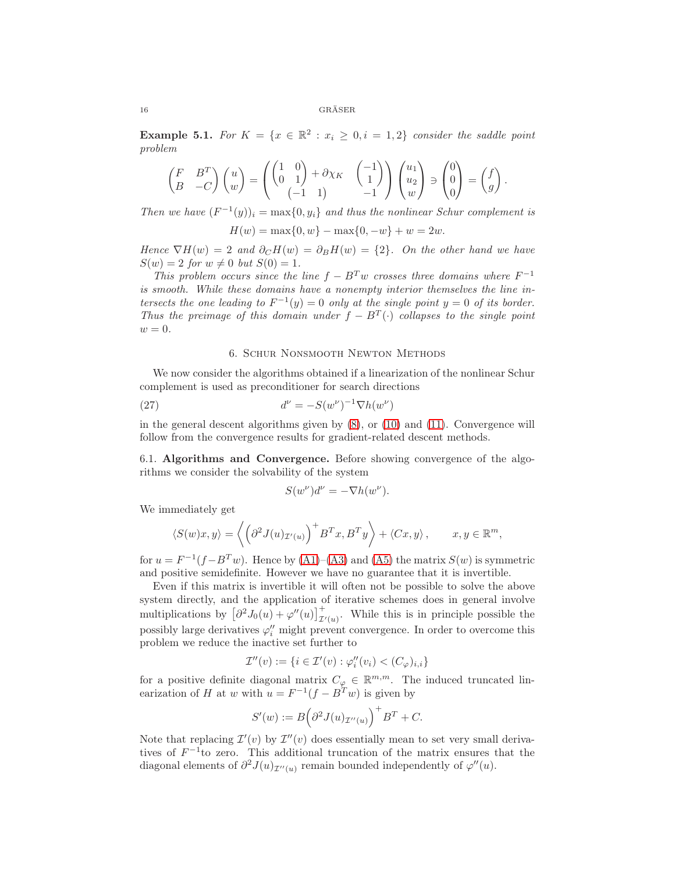<span id="page-15-1"></span>**Example 5.1.** For  $K = \{x \in \mathbb{R}^2 : x_i \geq 0, i = 1, 2\}$  consider the saddle point problem

$$
\begin{pmatrix} F & B^T \ B & -C \end{pmatrix} \begin{pmatrix} u \ w \end{pmatrix} = \begin{pmatrix} \begin{pmatrix} 1 & 0 \ 0 & 1 \end{pmatrix} + \partial \chi_K & \begin{pmatrix} -1 \ 1 \end{pmatrix} \\ \begin{pmatrix} -1 & 1 \end{pmatrix} & -1 \end{pmatrix} \begin{pmatrix} u_1 \\ u_2 \\ w \end{pmatrix} \ni \begin{pmatrix} 0 \\ 0 \\ 0 \end{pmatrix} = \begin{pmatrix} f \\ g \end{pmatrix}.
$$

Then we have  $(F^{-1}(y))_i = \max\{0, y_i\}$  and thus the nonlinear Schur complement is

$$
H(w) = \max\{0, w\} - \max\{0, -w\} + w = 2w.
$$

Hence  $\nabla H(w) = 2$  and  $\partial_C H(w) = \partial_B H(w) = \{2\}$ . On the other hand we have  $S(w) = 2$  for  $w \neq 0$  but  $S(0) = 1$ .

This problem occurs since the line  $f - B<sup>T</sup>w$  crosses three domains where  $F<sup>-1</sup>$ is smooth. While these domains have a nonempty interior themselves the line intersects the one leading to  $F^{-1}(y) = 0$  only at the single point  $y = 0$  of its border. Thus the preimage of this domain under  $f - B<sup>T</sup>(.)$  collapses to the single point  $w = 0.$ 

# 6. Schur Nonsmooth Newton Methods

<span id="page-15-0"></span>We now consider the algorithms obtained if a linearization of the nonlinear Schur complement is used as preconditioner for search directions

$$
d^{\nu} = -S(w^{\nu})^{-1} \nabla h(w^{\nu})
$$

in the general descent algorithms given by [\(8\)](#page-4-5), or [\(10\)](#page-4-2) and [\(11\)](#page-4-3). Convergence will follow from the convergence results for gradient-related descent methods.

6.1. Algorithms and Convergence. Before showing convergence of the algorithms we consider the solvability of the system

$$
S(w^{\nu})d^{\nu} = -\nabla h(w^{\nu}).
$$

We immediately get

$$
\langle S(w)x, y \rangle = \left\langle \left( \partial^2 J(u)_{\mathcal{I}'(u)} \right)^+ B^T x, B^T y \right\rangle + \langle Cx, y \rangle, \qquad x, y \in \mathbb{R}^m,
$$

for  $u = F^{-1}(f - B^T w)$ . Hence by  $(A1)$ – $(A3)$  and  $(A5)$  the matrix  $S(w)$  is symmetric and positive semidefinite. However we have no guarantee that it is invertible.

Even if this matrix is invertible it will often not be possible to solve the above system directly, and the application of iterative schemes does in general involve multiplications by  $\left[\partial^2 J_0(u) + \varphi''(u)\right]^+_{\mathcal{I}'(u)}$ . While this is in principle possible the possibly large derivatives  $\varphi''_i$  might prevent convergence. In order to overcome this problem we reduce the inactive set further to

$$
\mathcal{I}''(v) := \{ i \in \mathcal{I}'(v) : \varphi_i''(v_i) < (C_\varphi)_{i,i} \}
$$

for a positive definite diagonal matrix  $C_{\varphi} \in \mathbb{R}^{m,m}$ . The induced truncated linearization of H at w with  $u = F^{-1}(f - B^T w)$  is given by

$$
S'(w) := B(\partial^2 J(u)_{\mathcal{I}''(u)}^+)^+ B^T + C.
$$

Note that replacing  $\mathcal{I}'(v)$  by  $\mathcal{I}''(v)$  does essentially mean to set very small derivatives of  $F^{-1}$  to zero. This additional truncation of the matrix ensures that the diagonal elements of  $\partial^2 J(u)_{\mathcal{I}''(u)}$  remain bounded independently of  $\varphi''(u)$ .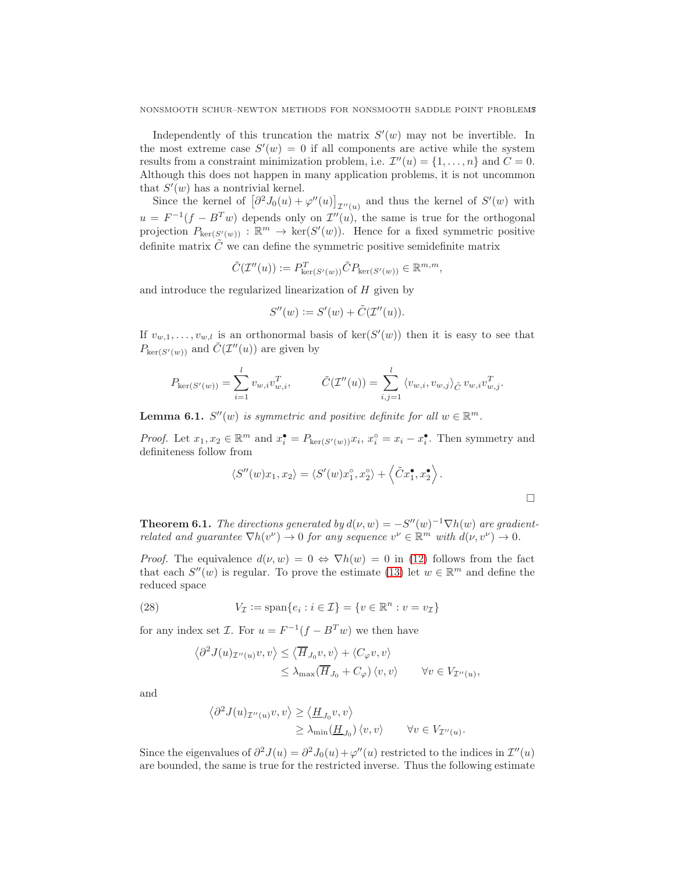Independently of this truncation the matrix  $S'(w)$  may not be invertible. In the most extreme case  $S'(w) = 0$  if all components are active while the system results from a constraint minimization problem, i.e.  $\mathcal{I}''(u) = \{1, \ldots, n\}$  and  $C = 0$ . Although this does not happen in many application problems, it is not uncommon that  $S'(w)$  has a nontrivial kernel.

Since the kernel of  $\left[\partial^2 J_0(u) + \varphi''(u)\right]_{\mathcal{I}''(u)}$  and thus the kernel of  $S'(w)$  with  $u = F^{-1}(f - B<sup>T</sup>w)$  depends only on  $\mathcal{I}''(u)$ , the same is true for the orthogonal projection  $P_{\text{ker}(S'(w))}: \mathbb{R}^m \to \text{ker}(S'(w))$ . Hence for a fixed symmetric positive definite matrix  $\tilde{C}$  we can define the symmetric positive semidefinite matrix

$$
\tilde{C}(\mathcal{I}''(u)) := P_{\ker(S'(w))}^T \tilde{C} P_{\ker(S'(w))} \in \mathbb{R}^{m,m},
$$

and introduce the regularized linearization of  $H$  given by

$$
S''(w) := S'(w) + \tilde{C}(\mathcal{I}''(u)).
$$

If  $v_{w,1}, \ldots, v_{w,l}$  is an orthonormal basis of  $\ker(S'(w))$  then it is easy to see that  $P_{\text{ker}(S'(w))}$  and  $\tilde{C}(\mathcal{I}''(u))$  are given by

$$
P_{\ker(S'(w))} = \sum_{i=1}^{l} v_{w,i} v_{w,i}^{T}, \qquad \tilde{C}(\mathcal{I}''(u)) = \sum_{i,j=1}^{l} \langle v_{w,i}, v_{w,j} \rangle_{\tilde{C}} v_{w,i} v_{w,j}^{T}.
$$

**Lemma 6.1.**  $S''(w)$  is symmetric and positive definite for all  $w \in \mathbb{R}^m$ .

*Proof.* Let  $x_1, x_2 \in \mathbb{R}^m$  and  $x_i^{\bullet} = P_{\text{ker}(S'(w))} x_i, x_i^{\circ} = x_i - x_i^{\bullet}$ . Then symmetry and definiteness follow from

$$
\langle S''(w)x_1, x_2 \rangle = \langle S'(w)x_1^{\circ}, x_2^{\circ} \rangle + \langle \tilde{C}x_1^{\bullet}, x_2^{\bullet} \rangle.
$$

.

<span id="page-16-0"></span>**Theorem 6.1.** The directions generated by  $d(\nu, w) = -S''(w)^{-1} \nabla h(w)$  are gradientrelated and guarantee  $\nabla h(v^{\nu}) \to 0$  for any sequence  $v^{\nu} \in \mathbb{R}^m$  with  $d(\nu, v^{\nu}) \to 0$ .

*Proof.* The equivalence  $d(\nu, w) = 0 \Leftrightarrow \nabla h(w) = 0$  in [\(12\)](#page-4-6) follows from the fact that each  $S''(w)$  is regular. To prove the estimate [\(13\)](#page-4-0) let  $w \in \mathbb{R}^m$  and define the reduced space

(28) 
$$
V_{\mathcal{I}} := \text{span}\{e_i : i \in \mathcal{I}\} = \{v \in \mathbb{R}^n : v = v_{\mathcal{I}}\}
$$

for any index set *I*. For  $u = F^{-1}(f - B^T w)$  we then have

$$
\langle \partial^2 J(u)_{\mathcal{I}''(u)} v, v \rangle \le \langle \overline{H}_{J_0} v, v \rangle + \langle C_{\varphi} v, v \rangle
$$
  

$$
\le \lambda_{\max}(\overline{H}_{J_0} + C_{\varphi}) \langle v, v \rangle \qquad \forall v \in V_{\mathcal{I}''(u)},
$$

and

$$
\langle \partial^2 J(u)_{\mathcal{I}''(u)} v, v \rangle \ge \langle \underline{H}_{J_0} v, v \rangle
$$
  
 
$$
\ge \lambda_{\min}(\underline{H}_{J_0}) \langle v, v \rangle \qquad \forall v \in V_{\mathcal{I}''(u)}
$$

Since the eigenvalues of  $\partial^2 J(u) = \partial^2 J_0(u) + \varphi''(u)$  restricted to the indices in  $\mathcal{I}''(u)$ are bounded, the same is true for the restricted inverse. Thus the following estimate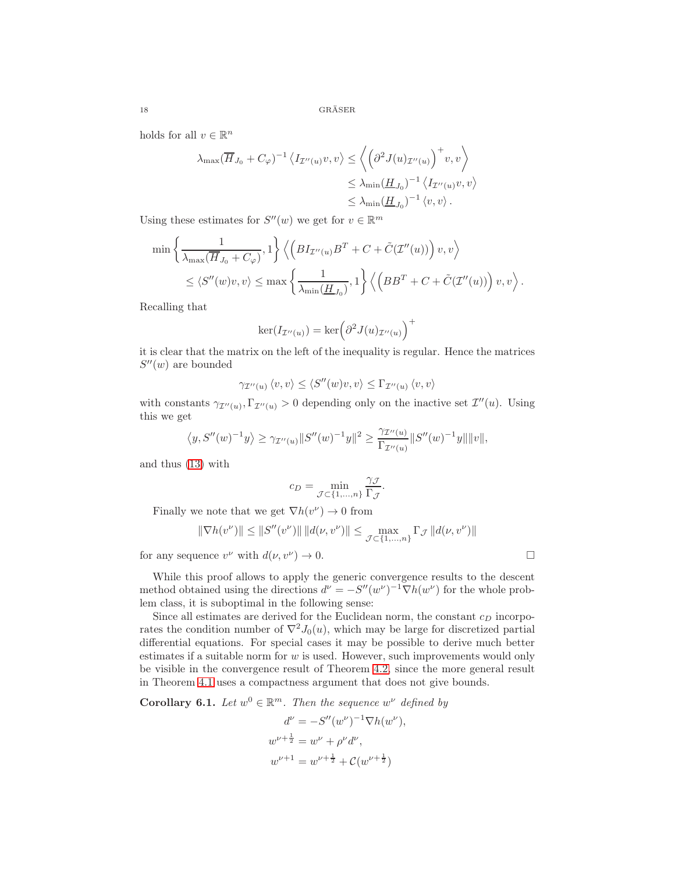holds for all  $v \in \mathbb{R}^n$ 

$$
\lambda_{\max}(\overline{H}_{J_0} + C_{\varphi})^{-1} \langle I_{\mathcal{I}''(u)} v, v \rangle \le \left\langle \left(\partial^2 J(u)_{\mathcal{I}''(u)}\right)^+ v, v \right\rangle
$$
  

$$
\le \lambda_{\min}(\underline{H}_{J_0})^{-1} \langle I_{\mathcal{I}''(u)} v, v \rangle
$$
  

$$
\le \lambda_{\min}(\underline{H}_{J_0})^{-1} \langle v, v \rangle.
$$

Using these estimates for  $S''(w)$  we get for  $v \in \mathbb{R}^m$ 

$$
\min \left\{ \frac{1}{\lambda_{\max}(\overline{H}_{J_0} + C_{\varphi})}, 1 \right\} \left\langle \left( BL_{\mathcal{I}''(u)} B^T + C + \tilde{C}(\mathcal{I}''(u)) \right) v, v \right\rangle
$$
  

$$
\leq \left\langle S''(w)v, v \right\rangle \leq \max \left\{ \frac{1}{\lambda_{\min}(\underline{H}_{J_0})}, 1 \right\} \left\langle \left( BB^T + C + \tilde{C}(\mathcal{I}''(u)) \right) v, v \right\rangle.
$$

Recalling that

$$
\ker(I_{\mathcal{I}''(u)}) = \ker\left(\partial^2 J(u)_{\mathcal{I}''(u)}\right)^+
$$

it is clear that the matrix on the left of the inequality is regular. Hence the matrices  $S''(w)$  are bounded

$$
\gamma_{\mathcal{I}''(u)} \langle v, v \rangle \le \langle S''(w)v, v \rangle \le \Gamma_{\mathcal{I}''(u)} \langle v, v \rangle
$$

with constants  $\gamma_{\mathcal{I}''(u)}, \Gamma_{\mathcal{I}''(u)} > 0$  depending only on the inactive set  $\mathcal{I}''(u)$ . Using this we get

$$
\langle y, S''(w)^{-1}y \rangle \ge \gamma_{\mathcal{I}''(u)} ||S''(w)^{-1}y||^2 \ge \frac{\gamma_{\mathcal{I}''(u)}}{\Gamma_{\mathcal{I}''(u)}} ||S''(w)^{-1}y|| ||v||,
$$

and thus [\(13\)](#page-4-0) with

$$
c_D = \min_{\mathcal{J} \subset \{1,\dots,n\}} \frac{\gamma_{\mathcal{J}}}{\Gamma_{\mathcal{J}}}.
$$

Finally we note that we get  $\nabla h(v^{\nu}) \to 0$  from

$$
\|\nabla h(v^{\nu})\| \le \|S''(v^{\nu})\| \|d(\nu, v^{\nu})\| \le \max_{\mathcal{J} \subset \{1, ..., n\}} \Gamma_{\mathcal{J}} \|d(\nu, v^{\nu})\|
$$

for any sequence  $v^{\nu}$  with  $d(\nu, v^{\nu}) \to 0$ .

While this proof allows to apply the generic convergence results to the descent method obtained using the directions  $d^{\nu} = -S''(w^{\nu})^{-1} \nabla h(w^{\nu})$  for the whole problem class, it is suboptimal in the following sense:

Since all estimates are derived for the Euclidean norm, the constant  $c<sub>D</sub>$  incorporates the condition number of  $\nabla^2 J_0(u)$ , which may be large for discretized partial differential equations. For special cases it may be possible to derive much better estimates if a suitable norm for  $w$  is used. However, such improvements would only be visible in the convergence result of Theorem [4.2,](#page-5-4) since the more general result in Theorem [4.1](#page-5-0) uses a compactness argument that does not give bounds.

<span id="page-17-0"></span>**Corollary 6.1.** Let  $w^0 \in \mathbb{R}^m$ . Then the sequence  $w^{\nu}$  defined by

$$
d^{\nu} = -S''(w^{\nu})^{-1} \nabla h(w^{\nu}),
$$
  
\n
$$
w^{\nu + \frac{1}{2}} = w^{\nu} + \rho^{\nu} d^{\nu},
$$
  
\n
$$
w^{\nu + 1} = w^{\nu + \frac{1}{2}} + \mathcal{C}(w^{\nu + \frac{1}{2}})
$$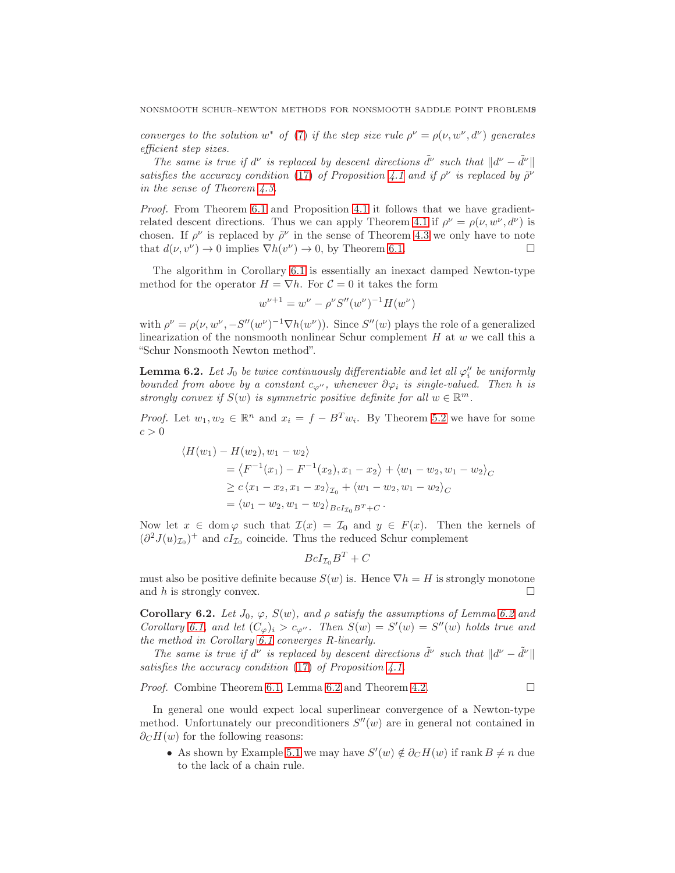converges to the solution  $w^*$  of [\(7\)](#page-3-3) if the step size rule  $\rho^{\nu} = \rho(\nu, w^{\nu}, d^{\nu})$  generates efficient step sizes.

The same is true if  $d^{\nu}$  is replaced by descent directions  $\tilde{d}^{\nu}$  such that  $||d^{\nu} - \tilde{d}^{\nu}||$ satisfies the accuracy condition [\(17\)](#page-5-2) of Proposition [4.1](#page-5-1) and if  $\rho^{\nu}$  is replaced by  $\tilde{\rho}^{\nu}$ in the sense of Theorem [4.3.](#page-7-0)

Proof. From Theorem [6.1](#page-16-0) and Proposition [4.1](#page-5-1) it follows that we have gradient-related descent directions. Thus we can apply Theorem [4.1](#page-5-0) if  $\rho^{\nu} = \rho(\nu, w^{\nu}, d^{\nu})$  is chosen. If  $\rho^{\nu}$  is replaced by  $\tilde{\rho}^{\nu}$  in the sense of Theorem [4.3](#page-7-0) we only have to note that  $d(\nu, v^{\nu}) \to 0$  implies  $\nabla h(v^{\nu}) \to 0$ , by Theorem [6.1.](#page-16-0)

The algorithm in Corollary [6.1](#page-17-0) is essentially an inexact damped Newton-type method for the operator  $H = \nabla h$ . For  $C = 0$  it takes the form

$$
w^{\nu+1} = w^{\nu} - \rho^{\nu} S''(w^{\nu})^{-1} H(w^{\nu})
$$

with  $\rho^{\nu} = \rho(\nu, w^{\nu}, -S''(w^{\nu})^{-1} \nabla h(w^{\nu}))$ . Since  $S''(w)$  plays the role of a generalized linearization of the nonsmooth nonlinear Schur complement  $H$  at  $w$  we call this a "Schur Nonsmooth Newton method".

<span id="page-18-0"></span>**Lemma 6.2.** Let  $J_0$  be twice continuously differentiable and let all  $\varphi''_i$  be uniformly bounded from above by a constant  $c_{\varphi''}$ , whenever  $\partial \varphi_i$  is single-valued. Then h is strongly convex if  $S(w)$  is symmetric positive definite for all  $w \in \mathbb{R}^m$ .

*Proof.* Let  $w_1, w_2 \in \mathbb{R}^n$  and  $x_i = f - B^T w_i$ . By Theorem [5.2](#page-13-1) we have for some  $c > 0$ 

$$
\langle H(w_1) - H(w_2), w_1 - w_2 \rangle
$$
  
=  $\langle F^{-1}(x_1) - F^{-1}(x_2), x_1 - x_2 \rangle + \langle w_1 - w_2, w_1 - w_2 \rangle_C$   
 $\geq c \langle x_1 - x_2, x_1 - x_2 \rangle_{\mathcal{I}_0} + \langle w_1 - w_2, w_1 - w_2 \rangle_C$   
=  $\langle w_1 - w_2, w_1 - w_2 \rangle_{BcI_{\mathcal{I}_0}B^T + C}.$ 

Now let  $x \in \text{dom}\,\varphi$  such that  $\mathcal{I}(x) = \mathcal{I}_0$  and  $y \in F(x)$ . Then the kernels of  $(\partial^2 J(u)_{\mathcal{I}_0})^+$  and  $cI_{\mathcal{I}_0}$  coincide. Thus the reduced Schur complement

$$
Bcl_{\mathcal{I}_0}B^T + C
$$

must also be positive definite because  $S(w)$  is. Hence  $\nabla h = H$  is strongly monotone and h is strongly convex.  $\Box$ 

Corollary [6.2](#page-18-0). Let  $J_0$ ,  $\varphi$ ,  $S(w)$ , and  $\rho$  satisfy the assumptions of Lemma 6.2 and Corollary [6.1,](#page-17-0) and let  $(C_{\varphi})_i > c_{\varphi''}$ . Then  $S(w) = S'(w) = S''(w)$  holds true and the method in Corollary [6.1](#page-17-0) converges R-linearly.

The same is true if  $d^{\nu}$  is replaced by descent directions  $\tilde{d}^{\nu}$  such that  $||d^{\nu} - \tilde{d}^{\nu}||$ satisfies the accuracy condition  $(17)$  of Proposition [4.1.](#page-5-1)

*Proof.* Combine Theorem [6.1,](#page-16-0) Lemma [6.2](#page-18-0) and Theorem [4.2.](#page-5-4)

In general one would expect local superlinear convergence of a Newton-type method. Unfortunately our preconditioners  $S''(w)$  are in general not contained in  $\partial_{\mathcal{C}}H(w)$  for the following reasons:

• As shown by Example [5.1](#page-15-1) we may have  $S'(w) \notin \partial_C H(w)$  if rank  $B \neq n$  due to the lack of a chain rule.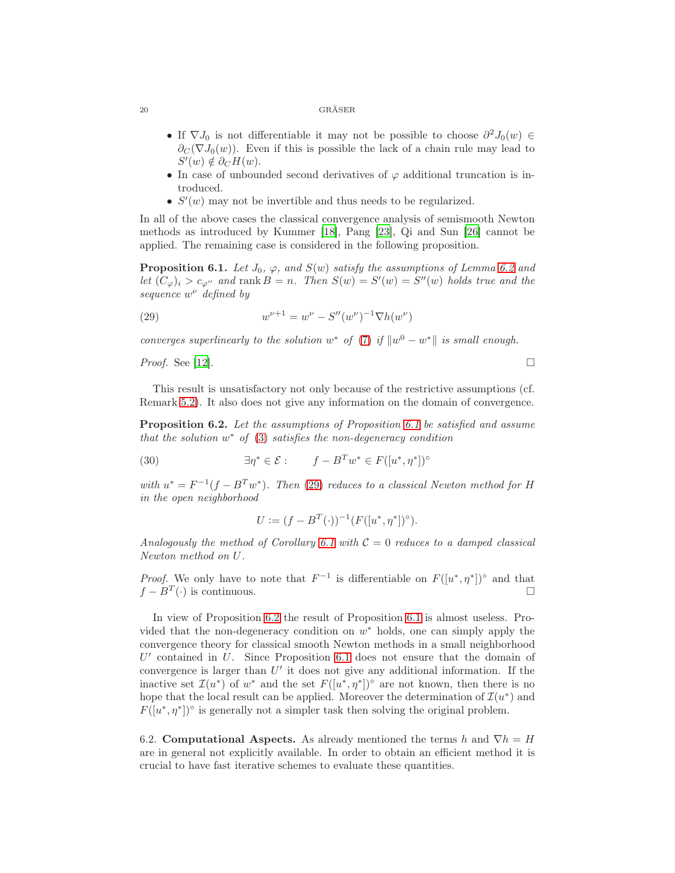- If  $\nabla J_0$  is not differentiable it may not be possible to choose  $\partial^2 J_0(w) \in$  $\partial_C (\nabla J_0(w))$ . Even if this is possible the lack of a chain rule may lead to  $S'(w) \notin \partial_C H(w).$
- In case of unbounded second derivatives of  $\varphi$  additional truncation is introduced.
- $S'(w)$  may not be invertible and thus needs to be regularized.

In all of the above cases the classical convergence analysis of semismooth Newton methods as introduced by Kummer [\[18\]](#page-23-8), Pang [\[23\]](#page-23-9), Qi and Sun [\[26\]](#page-23-10) cannot be applied. The remaining case is considered in the following proposition.

<span id="page-19-0"></span>**Proposition 6.1.** Let  $J_0$ ,  $\varphi$ , and  $S(w)$  satisfy the assumptions of Lemma [6.2](#page-18-0) and let  $(C_{\varphi})_i > c_{\varphi''}$  and rank  $B = n$ . Then  $S(w) = S'(w) = S''(w)$  holds true and the sequence  $w^{\nu}$  defined by

<span id="page-19-1"></span>(29) 
$$
w^{\nu+1} = w^{\nu} - S''(w^{\nu})^{-1} \nabla h(w^{\nu})
$$

converges superlinearly to the solution  $w^*$  of [\(7\)](#page-3-3) if  $\|w^0 - w^*\|$  is small enough.

*Proof.* See [\[12](#page-22-6)].

This result is unsatisfactory not only because of the restrictive assumptions (cf. Remark [5.2\)](#page-14-1). It also does not give any information on the domain of convergence.

<span id="page-19-2"></span>Proposition 6.2. Let the assumptions of Proposition [6.1](#page-19-0) be satisfied and assume that the solution  $w^*$  of  $(3)$  satisfies the non-degeneracy condition

 $\exists \eta^* \in \mathcal{E} : \qquad f - B^T w^* \in F([u^*, \eta^*])^{\circ}$ (30)

with  $u^* = F^{-1}(f - B^T w^*)$ . Then [\(29\)](#page-19-1) reduces to a classical Newton method for H in the open neighborhood

$$
U := (f - B^T(\cdot))^{-1} (F([u^*, \eta^*])^{\circ}).
$$

Analogously the method of Corollary [6.1](#page-17-0) with  $C = 0$  reduces to a damped classical Newton method on U.

*Proof.* We only have to note that  $F^{-1}$  is differentiable on  $F([u^*, \eta^*])^{\circ}$  and that  $f - B<sup>T</sup>(.)$  is continuous.  $\Box$  is continuous.

In view of Proposition [6.2](#page-19-2) the result of Proposition [6.1](#page-19-0) is almost useless. Provided that the non-degeneracy condition on  $w^*$  holds, one can simply apply the convergence theory for classical smooth Newton methods in a small neighborhood  $U'$  contained in  $U$ . Since Proposition [6.1](#page-19-0) does not ensure that the domain of convergence is larger than  $U'$  it does not give any additional information. If the inactive set  $\mathcal{I}(u^*)$  of  $w^*$  and the set  $F([u^*, \eta^*])^{\circ}$  are not known, then there is no hope that the local result can be applied. Moreover the determination of  $\mathcal{I}(u^*)$  and  $F([u^*,\eta^*])^{\circ}$  is generally not a simpler task then solving the original problem.

6.2. Computational Aspects. As already mentioned the terms h and  $\nabla h = H$ are in general not explicitly available. In order to obtain an efficient method it is crucial to have fast iterative schemes to evaluate these quantities.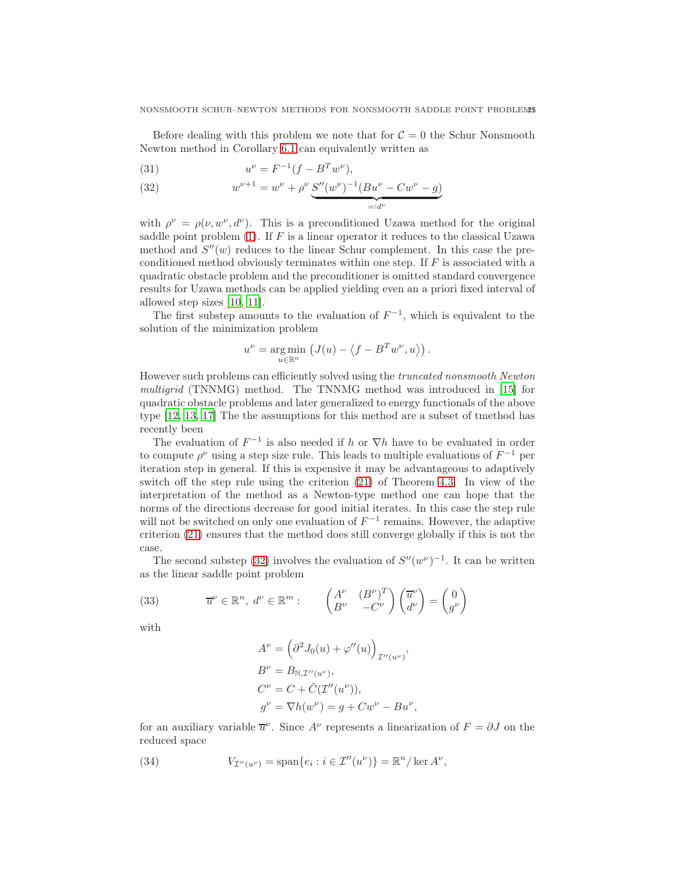Before dealing with this problem we note that for  $C = 0$  the Schur Nonsmooth Newton method in Corollary [6.1](#page-17-0) can equivalently written as

(31) 
$$
u^{\nu} = F^{-1}(f - B^T w^{\nu}),
$$

<span id="page-20-0"></span>(32) 
$$
w^{\nu+1} = w^{\nu} + \rho^{\nu} \underbrace{S''(w^{\nu})^{-1}(Bu^{\nu} - Cw^{\nu} - g)}_{=:d^{\nu}}
$$

with  $\rho^{\nu} = \rho(\nu, w^{\nu}, d^{\nu})$ . This is a preconditioned Uzawa method for the original saddle point problem  $(1)$ . If F is a linear operator it reduces to the classical Uzawa method and  $S''(w)$  reduces to the linear Schur complement. In this case the preconditioned method obviously terminates within one step. If  $F$  is associated with a quadratic obstacle problem and the preconditioner is omitted standard convergence results for Uzawa methods can be applied yielding even an a priori fixed interval of allowed step sizes [\[10,](#page-22-11) [11\]](#page-22-12).

The first substep amounts to the evaluation of  $F^{-1}$ , which is equivalent to the solution of the minimization problem

$$
u^{\nu} = \underset{u \in \mathbb{R}^n}{\arg \min} \left( J(u) - \langle f - B^T w^{\nu}, u \rangle \right).
$$

However such problems can efficiently solved using the truncated nonsmooth Newton multigrid (TNNMG) method. The TNNMG method was introduced in [\[15](#page-22-13)] for quadratic obstacle problems and later generalized to energy functionals of the above type [\[12,](#page-22-6) [13,](#page-22-14) [17\]](#page-22-15) The the assumptions for this method are a subset of tmethod has recently been

The evaluation of  $F^{-1}$  is also needed if h or  $\nabla h$  have to be evaluated in order to compute  $\rho^{\nu}$  using a step size rule. This leads to multiple evaluations of  $F^{-1}$  per iteration step in general. If this is expensive it may be advantageous to adaptively switch off the step rule using the criterion [\(21\)](#page-6-1) of Theorem [4.3.](#page-7-0) In view of the interpretation of the method as a Newton-type method one can hope that the norms of the directions decrease for good initial iterates. In this case the step rule will not be switched on only one evaluation of  $F^{-1}$  remains. However, the adaptive criterion [\(21\)](#page-6-1) ensures that the method does still converge globally if this is not the case.

The second substep [\(32\)](#page-20-0) involves the evaluation of  $S''(w^{\nu})^{-1}$ . It can be written as the linear saddle point problem

<span id="page-20-1"></span>(33) 
$$
\overline{u}^{\nu} \in \mathbb{R}^{n}, d^{\nu} \in \mathbb{R}^{m}: \qquad \begin{pmatrix} A^{\nu} & (B^{\nu})^{T} \\ B^{\nu} & -C^{\nu} \end{pmatrix} \begin{pmatrix} \overline{u}^{\nu} \\ d^{\nu} \end{pmatrix} = \begin{pmatrix} 0 \\ g^{\nu} \end{pmatrix}
$$

with

$$
A^{\nu} = \left(\partial^2 J_0(u) + \varphi''(u)\right)_{\mathcal{I}''(u^{\nu})},
$$
  
\n
$$
B^{\nu} = B_{\mathbb{N}, \mathcal{I}''(u^{\nu})},
$$
  
\n
$$
C^{\nu} = C + \tilde{C}(\mathcal{I}''(u^{\nu})),
$$
  
\n
$$
g^{\nu} = \nabla h(w^{\nu}) = g + Cw^{\nu} - Bu^{\nu},
$$

for an auxiliary variable  $\overline{u}^{\nu}$ . Since  $A^{\nu}$  represents a linearization of  $F = \partial J$  on the reduced space

(34) 
$$
V_{\mathcal{I}''(u^{\nu})} = \text{span}\{e_i : i \in \mathcal{I}''(u^{\nu})\} = \mathbb{R}^n / \ker A^{\nu},
$$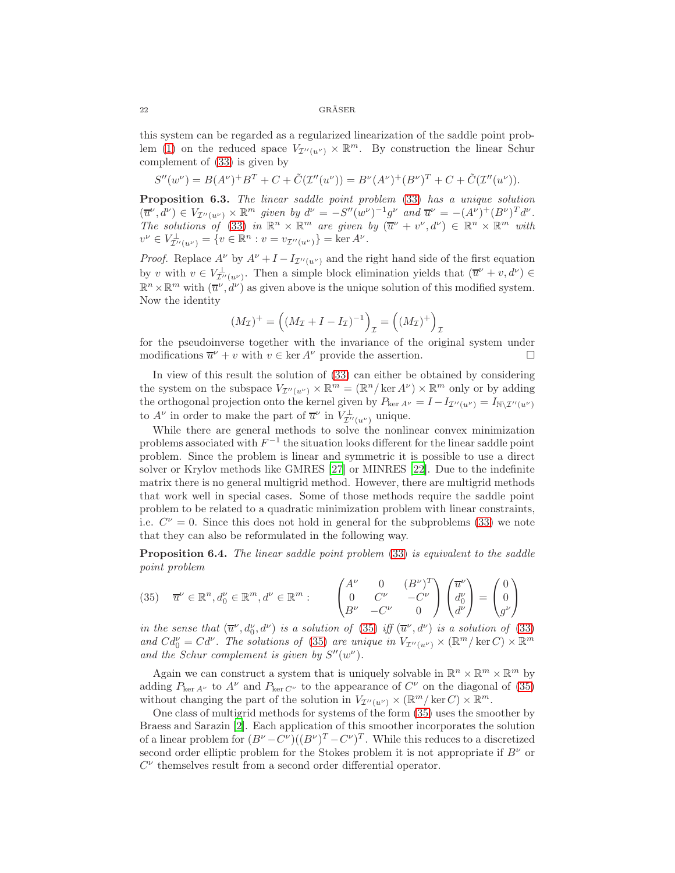this system can be regarded as a regularized linearization of the saddle point prob-lem [\(1\)](#page-0-0) on the reduced space  $V_{\mathcal{I}''(u^{\nu})} \times \mathbb{R}^m$ . By construction the linear Schur complement of [\(33\)](#page-20-1) is given by

$$
S''(w^{\nu}) = B(A^{\nu})^{+}B^{T} + C + \tilde{C}(\mathcal{I}''(u^{\nu})) = B^{\nu}(A^{\nu})^{+}(B^{\nu})^{T} + C + \tilde{C}(\mathcal{I}''(u^{\nu})).
$$

Proposition 6.3. The linear saddle point problem [\(33\)](#page-20-1) has a unique solution  $(\overline{u}^{\nu}, d^{\nu}) \in V_{\mathcal{I}''(u^{\nu})} \times \mathbb{R}^m$  given by  $d^{\nu} = -S''(w^{\nu})^{-1}g^{\nu}$  and  $\overline{u}^{\nu} = -(A^{\nu})^{+}(B^{\nu})^{T}d^{\nu}$ . The solutions of [\(33\)](#page-20-1) in  $\mathbb{R}^n \times \mathbb{R}^m$  are given by  $(\overline{u}^{\nu} + v^{\nu}, d^{\nu}) \in \mathbb{R}^n \times \mathbb{R}^m$  with  $v^{\nu} \in V^{\perp}_{\mathcal{I}''(u^{\nu})} = \{v \in \mathbb{R}^n : v = v_{\mathcal{I}''(u^{\nu})}\} = \ker A^{\nu}.$ 

*Proof.* Replace  $A^{\nu}$  by  $A^{\nu} + I - I_{\mathcal{I}''(u^{\nu})}$  and the right hand side of the first equation by v with  $v \in V_{\mathcal{I}''(u^{\nu})}^{\perp}$ . Then a simple block elimination yields that  $(\overline{u}^{\nu} + v, d^{\nu}) \in$  $\mathbb{R}^n \times \mathbb{R}^m$  with  $(\overline{u}^{\nu}, \dot{d}^{\nu})$  as given above is the unique solution of this modified system. Now the identity

$$
(M_{\mathcal{I}})^+ = ((M_{\mathcal{I}} + I - I_{\mathcal{I}})^{-1})_{\mathcal{I}} = ((M_{\mathcal{I}})^+ )_{\mathcal{I}}
$$

for the pseudoinverse together with the invariance of the original system under modifications  $\overline{u}^{\nu} + v$  with  $v \in \text{ker } A^{\nu}$  provide the assertion.

In view of this result the solution of [\(33\)](#page-20-1) can either be obtained by considering the system on the subspace  $V_{\mathcal{I}''(u^{\nu})} \times \mathbb{R}^m = (\mathbb{R}^n / \ker A^{\nu}) \times \mathbb{R}^m$  only or by adding the orthogonal projection onto the kernel given by  $P_{\text{ker }A^{\nu}} = I - I_{\mathcal{I}''(u^{\nu})} = I_{\mathbb{N}\setminus\mathcal{I}''(u^{\nu})}$ to  $A^{\nu}$  in order to make the part of  $\overline{u}^{\nu}$  in  $V_{\mathcal{I}^{\prime\prime}(u^{\nu})}^{\perp}$  unique.

While there are general methods to solve the nonlinear convex minimization problems associated with  $F^{-1}$  the situation looks different for the linear saddle point problem. Since the problem is linear and symmetric it is possible to use a direct solver or Krylov methods like GMRES [\[27\]](#page-23-11) or MINRES [\[22\]](#page-23-12). Due to the indefinite matrix there is no general multigrid method. However, there are multigrid methods that work well in special cases. Some of those methods require the saddle point problem to be related to a quadratic minimization problem with linear constraints, i.e.  $C^{\nu} = 0$ . Since this does not hold in general for the subproblems [\(33\)](#page-20-1) we note that they can also be reformulated in the following way.

Proposition 6.4. The linear saddle point problem [\(33\)](#page-20-1) is equivalent to the saddle point problem

<span id="page-21-0"></span>
$$
(35) \quad \overline{u}^{\nu} \in \mathbb{R}^n, d_0^{\nu} \in \mathbb{R}^m, d^{\nu} \in \mathbb{R}^m: \qquad \begin{pmatrix} A^{\nu} & 0 & (B^{\nu})^T \\ 0 & C^{\nu} & -C^{\nu} \\ B^{\nu} & -C^{\nu} & 0 \end{pmatrix} \begin{pmatrix} \overline{u}^{\nu} \\ d_0^{\nu} \\ d^{\nu} \end{pmatrix} = \begin{pmatrix} 0 \\ 0 \\ g^{\nu} \end{pmatrix}
$$

in the sense that  $(\overline{u}^{\nu}, d_0^{\nu}, d^{\nu})$  is a solution of [\(35\)](#page-21-0) iff  $(\overline{u}^{\nu}, d^{\nu})$  is a solution of [\(33\)](#page-20-1) and  $Cd_0^{\nu} = Cd^{\nu}$ . The solutions of [\(35\)](#page-21-0) are unique in  $V_{\mathcal{I}''(u^{\nu})} \times (\mathbb{R}^m / \ker C) \times \mathbb{R}^m$ and the Schur complement is given by  $S''(w^{\nu})$ .

Again we can construct a system that is uniquely solvable in  $\mathbb{R}^n \times \mathbb{R}^m \times \mathbb{R}^m$  by adding  $P_{\text{ker }A^{\nu}}$  to  $A^{\nu}$  and  $P_{\text{ker }C^{\nu}}$  to the appearance of  $C^{\nu}$  on the diagonal of [\(35\)](#page-21-0) without changing the part of the solution in  $V_{\mathcal{I}''(u^{\nu})} \times (\mathbb{R}^m / \ker C) \times \mathbb{R}^m$ .

One class of multigrid methods for systems of the form [\(35\)](#page-21-0) uses the smoother by Braess and Sarazin [\[2\]](#page-22-16). Each application of this smoother incorporates the solution of a linear problem for  $(B^{\nu}-C^{\nu})((B^{\nu})^T-C^{\nu})^T$ . While this reduces to a discretized second order elliptic problem for the Stokes problem it is not appropriate if  $B^{\nu}$  or  $C^{\nu}$  themselves result from a second order differential operator.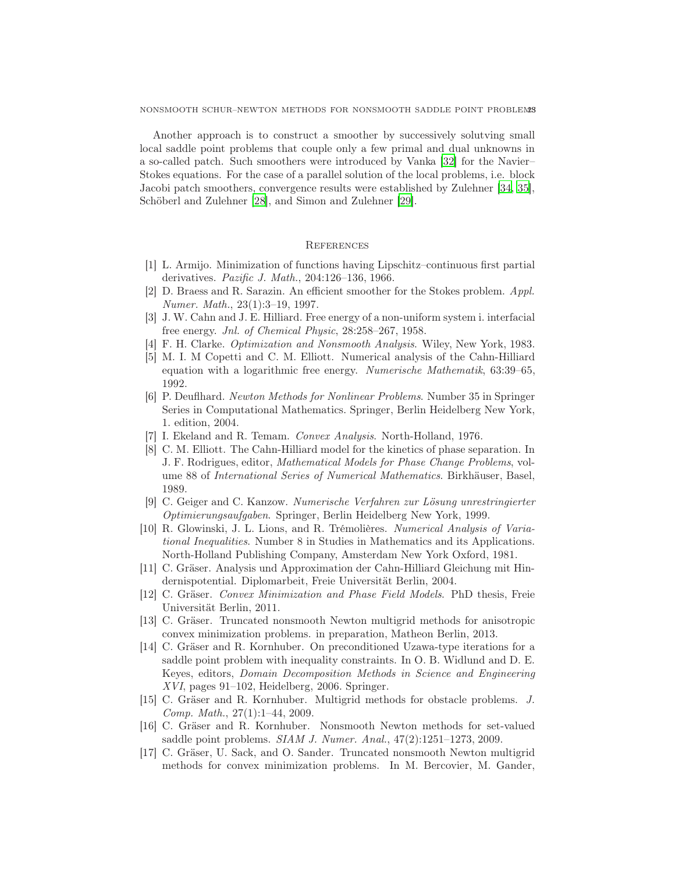Another approach is to construct a smoother by successively solutving small local saddle point problems that couple only a few primal and dual unknowns in a so-called patch. Such smoothers were introduced by Vanka [\[32](#page-23-13)] for the Navier– Stokes equations. For the case of a parallel solution of the local problems, i.e. block Jacobi patch smoothers, convergence results were established by Zulehner [\[34,](#page-23-14) [35\]](#page-23-15), Schöberl and Zulehner [\[28\]](#page-23-16), and Simon and Zulehner [\[29\]](#page-23-17).

# **REFERENCES**

- <span id="page-22-9"></span>[1] L. Armijo. Minimization of functions having Lipschitz–continuous first partial derivatives. Pazific J. Math., 204:126–136, 1966.
- <span id="page-22-16"></span>[2] D. Braess and R. Sarazin. An efficient smoother for the Stokes problem. Appl. Numer. Math., 23(1):3–19, 1997.
- <span id="page-22-0"></span>[3] J. W. Cahn and J. E. Hilliard. Free energy of a non-uniform system i. interfacial free energy. Jnl. of Chemical Physic, 28:258–267, 1958.
- <span id="page-22-10"></span>[4] F. H. Clarke. Optimization and Nonsmooth Analysis. Wiley, New York, 1983.
- <span id="page-22-3"></span>[5] M. I. M Copetti and C. M. Elliott. Numerical analysis of the Cahn-Hilliard equation with a logarithmic free energy. Numerische Mathematik, 63:39–65, 1992.
- <span id="page-22-8"></span>[6] P. Deuflhard. Newton Methods for Nonlinear Problems. Number 35 in Springer Series in Computational Mathematics. Springer, Berlin Heidelberg New York, 1. edition, 2004.
- <span id="page-22-5"></span>[7] I. Ekeland and R. Temam. Convex Analysis. North-Holland, 1976.
- <span id="page-22-4"></span>[8] C. M. Elliott. The Cahn-Hilliard model for the kinetics of phase separation. In J. F. Rodrigues, editor, Mathematical Models for Phase Change Problems, volume 88 of International Series of Numerical Mathematics. Birkhäuser, Basel, 1989.
- <span id="page-22-7"></span>[9] C. Geiger and C. Kanzow. Numerische Verfahren zur Lösung unrestringierter Optimierungsaufgaben. Springer, Berlin Heidelberg New York, 1999.
- <span id="page-22-11"></span>[10] R. Glowinski, J. L. Lions, and R. Trémolières. Numerical Analysis of Variational Inequalities. Number 8 in Studies in Mathematics and its Applications. North-Holland Publishing Company, Amsterdam New York Oxford, 1981.
- <span id="page-22-12"></span>[11] C. Gräser. Analysis und Approximation der Cahn-Hilliard Gleichung mit Hindernispotential. Diplomarbeit, Freie Universität Berlin, 2004.
- <span id="page-22-6"></span>[12] C. Gräser. Convex Minimization and Phase Field Models. PhD thesis, Freie Universität Berlin, 2011.
- <span id="page-22-14"></span>[13] C. Gräser. Truncated nonsmooth Newton multigrid methods for anisotropic convex minimization problems. in preparation, Matheon Berlin, 2013.
- <span id="page-22-1"></span>[14] C. Gräser and R. Kornhuber. On preconditioned Uzawa-type iterations for a saddle point problem with inequality constraints. In O. B. Widlund and D. E. Keyes, editors, Domain Decomposition Methods in Science and Engineering XVI, pages 91–102, Heidelberg, 2006. Springer.
- <span id="page-22-13"></span>[15] C. Gräser and R. Kornhuber. Multigrid methods for obstacle problems. J. Comp. Math., 27(1):1–44, 2009.
- <span id="page-22-2"></span>[16] C. Gräser and R. Kornhuber. Nonsmooth Newton methods for set-valued saddle point problems. SIAM J. Numer. Anal., 47(2):1251–1273, 2009.
- <span id="page-22-15"></span>[17] C. Gräser, U. Sack, and O. Sander. Truncated nonsmooth Newton multigrid methods for convex minimization problems. In M. Bercovier, M. Gander,